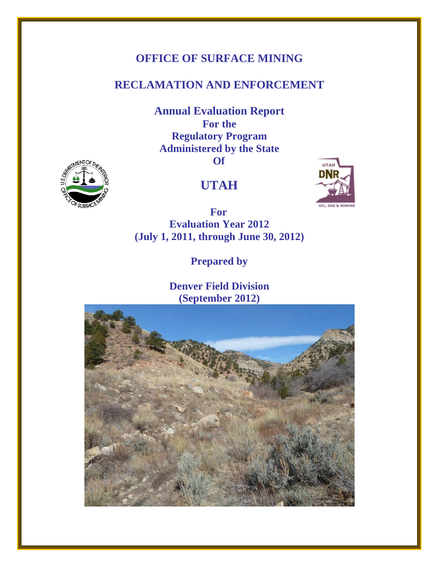# **OFFICE OF SURFACE MINING**

# **RECLAMATION AND ENFORCEMENT**

**Annual Evaluation Report For the Regulatory Program Administered by the State Of** 





 **For Evaluation Year 2012 (July 1, 2011, through June 30, 2012)** 

**Prepared by** 

**Denver Field Division (September 2012)**



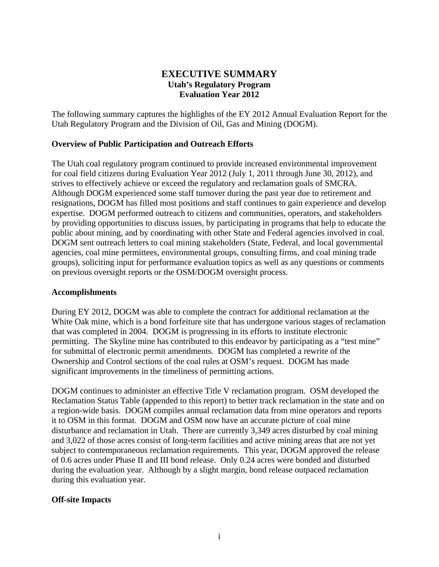## **EXECUTIVE SUMMARY Utah's Regulatory Program Evaluation Year 2012**

The following summary captures the highlights of the EY 2012 Annual Evaluation Report for the Utah Regulatory Program and the Division of Oil, Gas and Mining (DOGM).

## **Overview of Public Participation and Outreach Efforts**

The Utah coal regulatory program continued to provide increased environmental improvement for coal field citizens during Evaluation Year 2012 (July 1, 2011 through June 30, 2012), and strives to effectively achieve or exceed the regulatory and reclamation goals of SMCRA. Although DOGM experienced some staff turnover during the past year due to retirement and resignations, DOGM has filled most positions and staff continues to gain experience and develop expertise. DOGM performed outreach to citizens and communities, operators, and stakeholders by providing opportunities to discuss issues, by participating in programs that help to educate the public about mining, and by coordinating with other State and Federal agencies involved in coal. DOGM sent outreach letters to coal mining stakeholders (State, Federal, and local governmental agencies, coal mine permittees, environmental groups, consulting firms, and coal mining trade groups), soliciting input for performance evaluation topics as well as any questions or comments on previous oversight reports or the OSM/DOGM oversight process.

### **Accomplishments**

During EY 2012, DOGM was able to complete the contract for additional reclamation at the White Oak mine, which is a bond forfeiture site that has undergone various stages of reclamation that was completed in 2004. DOGM is progressing in its efforts to institute electronic permitting. The Skyline mine has contributed to this endeavor by participating as a "test mine" for submittal of electronic permit amendments. DOGM has completed a rewrite of the Ownership and Control sections of the coal rules at OSM's request. DOGM has made significant improvements in the timeliness of permitting actions.

DOGM continues to administer an effective Title V reclamation program. OSM developed the Reclamation Status Table (appended to this report) to better track reclamation in the state and on a region-wide basis. DOGM compiles annual reclamation data from mine operators and reports it to OSM in this format. DOGM and OSM now have an accurate picture of coal mine disturbance and reclamation in Utah. There are currently 3,349 acres disturbed by coal mining and 3,022 of those acres consist of long-term facilities and active mining areas that are not yet subject to contemporaneous reclamation requirements. This year, DOGM approved the release of 0.6 acres under Phase II and III bond release. Only 0.24 acres were bonded and disturbed during the evaluation year. Although by a slight margin, bond release outpaced reclamation during this evaluation year.

### **Off-site Impacts**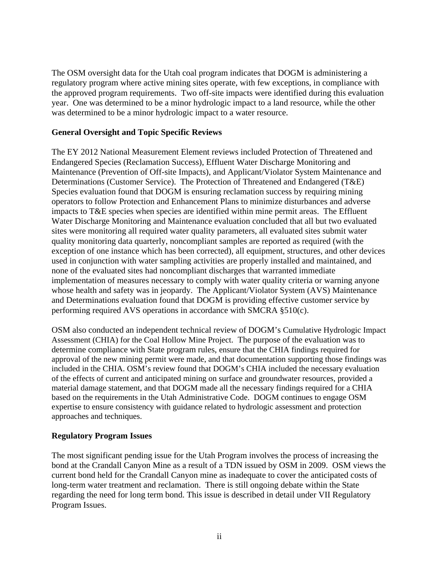The OSM oversight data for the Utah coal program indicates that DOGM is administering a regulatory program where active mining sites operate, with few exceptions, in compliance with the approved program requirements. Two off-site impacts were identified during this evaluation year. One was determined to be a minor hydrologic impact to a land resource, while the other was determined to be a minor hydrologic impact to a water resource.

### **General Oversight and Topic Specific Reviews**

The EY 2012 National Measurement Element reviews included Protection of Threatened and Endangered Species (Reclamation Success), Effluent Water Discharge Monitoring and Maintenance (Prevention of Off-site Impacts), and Applicant/Violator System Maintenance and Determinations (Customer Service). The Protection of Threatened and Endangered (T&E) Species evaluation found that DOGM is ensuring reclamation success by requiring mining operators to follow Protection and Enhancement Plans to minimize disturbances and adverse impacts to T&E species when species are identified within mine permit areas. The Effluent Water Discharge Monitoring and Maintenance evaluation concluded that all but two evaluated sites were monitoring all required water quality parameters, all evaluated sites submit water quality monitoring data quarterly, noncompliant samples are reported as required (with the exception of one instance which has been corrected), all equipment, structures, and other devices used in conjunction with water sampling activities are properly installed and maintained, and none of the evaluated sites had noncompliant discharges that warranted immediate implementation of measures necessary to comply with water quality criteria or warning anyone whose health and safety was in jeopardy. The Applicant/Violator System (AVS) Maintenance and Determinations evaluation found that DOGM is providing effective customer service by performing required AVS operations in accordance with SMCRA §510(c).

OSM also conducted an independent technical review of DOGM's Cumulative Hydrologic Impact Assessment (CHIA) for the Coal Hollow Mine Project. The purpose of the evaluation was to determine compliance with State program rules, ensure that the CHIA findings required for approval of the new mining permit were made, and that documentation supporting those findings was included in the CHIA. OSM's review found that DOGM's CHIA included the necessary evaluation of the effects of current and anticipated mining on surface and groundwater resources, provided a material damage statement, and that DOGM made all the necessary findings required for a CHIA based on the requirements in the Utah Administrative Code. DOGM continues to engage OSM expertise to ensure consistency with guidance related to hydrologic assessment and protection approaches and techniques.

### **Regulatory Program Issues**

The most significant pending issue for the Utah Program involves the process of increasing the bond at the Crandall Canyon Mine as a result of a TDN issued by OSM in 2009. OSM views the current bond held for the Crandall Canyon mine as inadequate to cover the anticipated costs of long-term water treatment and reclamation. There is still ongoing debate within the State regarding the need for long term bond. This issue is described in detail under VII Regulatory Program Issues.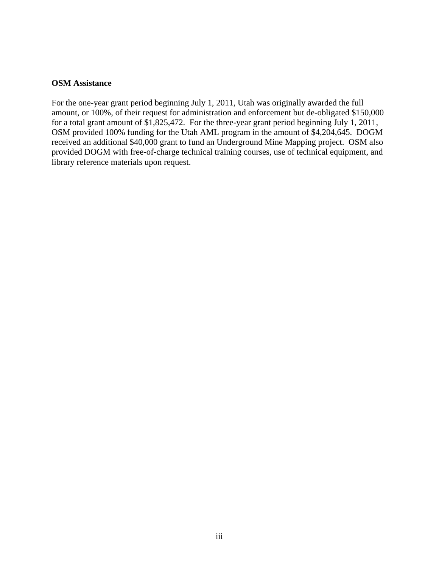### **OSM Assistance**

For the one-year grant period beginning July 1, 2011, Utah was originally awarded the full amount, or 100%, of their request for administration and enforcement but de-obligated \$150,000 for a total grant amount of \$1,825,472. For the three-year grant period beginning July 1, 2011, OSM provided 100% funding for the Utah AML program in the amount of \$4,204,645. DOGM received an additional \$40,000 grant to fund an Underground Mine Mapping project. OSM also provided DOGM with free-of-charge technical training courses, use of technical equipment, and library reference materials upon request.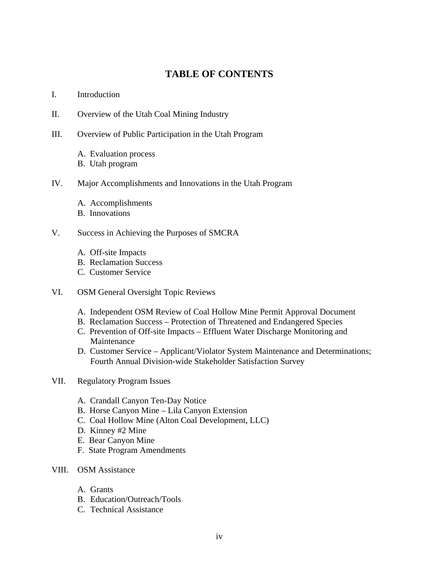# **TABLE OF CONTENTS**

### I. Introduction

- II. Overview of the Utah Coal Mining Industry
- III. Overview of Public Participation in the Utah Program
	- A. Evaluation process
	- B. Utah program
- IV. Major Accomplishments and Innovations in the Utah Program
	- A. Accomplishments
	- B. Innovations
- V. Success in Achieving the Purposes of SMCRA
	- A. Off-site Impacts
	- B. Reclamation Success
	- C. Customer Service
- VI. OSM General Oversight Topic Reviews
	- A. Independent OSM Review of Coal Hollow Mine Permit Approval Document
	- B. Reclamation Success Protection of Threatened and Endangered Species
	- C. Prevention of Off-site Impacts Effluent Water Discharge Monitoring and Maintenance
	- D. Customer Service Applicant/Violator System Maintenance and Determinations; Fourth Annual Division-wide Stakeholder Satisfaction Survey
- VII. Regulatory Program Issues
	- A. Crandall Canyon Ten-Day Notice
	- B. Horse Canyon Mine Lila Canyon Extension
	- C. Coal Hollow Mine (Alton Coal Development, LLC)
	- D. Kinney #2 Mine
	- E. Bear Canyon Mine
	- F. State Program Amendments
- VIII. OSM Assistance
	- A. Grants
	- B. Education/Outreach/Tools
	- C. Technical Assistance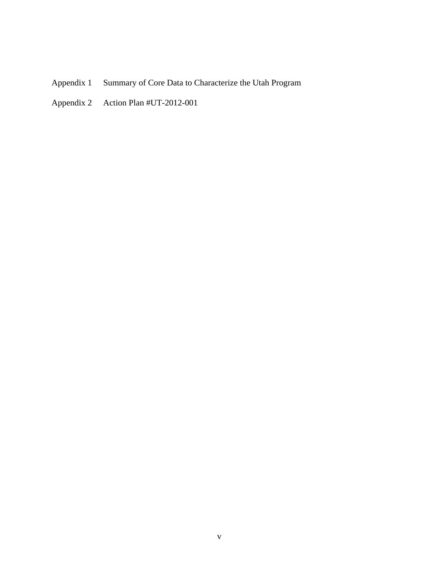- Appendix 1 Summary of Core Data to Characterize the Utah Program
- Appendix 2 Action Plan #UT-2012-001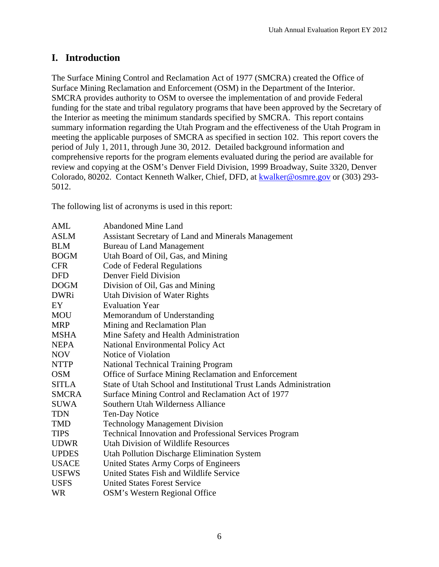# **I. Introduction**

The Surface Mining Control and Reclamation Act of 1977 (SMCRA) created the Office of Surface Mining Reclamation and Enforcement (OSM) in the Department of the Interior. SMCRA provides authority to OSM to oversee the implementation of and provide Federal funding for the state and tribal regulatory programs that have been approved by the Secretary of the Interior as meeting the minimum standards specified by SMCRA. This report contains summary information regarding the Utah Program and the effectiveness of the Utah Program in meeting the applicable purposes of SMCRA as specified in section 102. This report covers the period of July 1, 2011, through June 30, 2012. Detailed background information and comprehensive reports for the program elements evaluated during the period are available for review and copying at the OSM's Denver Field Division, 1999 Broadway, Suite 3320, Denver Colorado, 80202. Contact Kenneth Walker, Chief, DFD, at kwalker@osmre.gov or (303) 293- 5012.

The following list of acronyms is used in this report:

| <b>Abandoned Mine Land</b>                                        |
|-------------------------------------------------------------------|
| Assistant Secretary of Land and Minerals Management               |
| <b>Bureau of Land Management</b>                                  |
| Utah Board of Oil, Gas, and Mining                                |
| Code of Federal Regulations                                       |
| Denver Field Division                                             |
| Division of Oil, Gas and Mining                                   |
| <b>Utah Division of Water Rights</b>                              |
| <b>Evaluation Year</b>                                            |
| Memorandum of Understanding                                       |
| Mining and Reclamation Plan                                       |
| Mine Safety and Health Administration                             |
| National Environmental Policy Act                                 |
| Notice of Violation                                               |
| <b>National Technical Training Program</b>                        |
| Office of Surface Mining Reclamation and Enforcement              |
| State of Utah School and Institutional Trust Lands Administration |
| Surface Mining Control and Reclamation Act of 1977                |
| Southern Utah Wilderness Alliance                                 |
| Ten-Day Notice                                                    |
| <b>Technology Management Division</b>                             |
| Technical Innovation and Professional Services Program            |
| Utah Division of Wildlife Resources                               |
| Utah Pollution Discharge Elimination System                       |
| United States Army Corps of Engineers                             |
| United States Fish and Wildlife Service                           |
| <b>United States Forest Service</b>                               |
| <b>OSM's Western Regional Office</b>                              |
|                                                                   |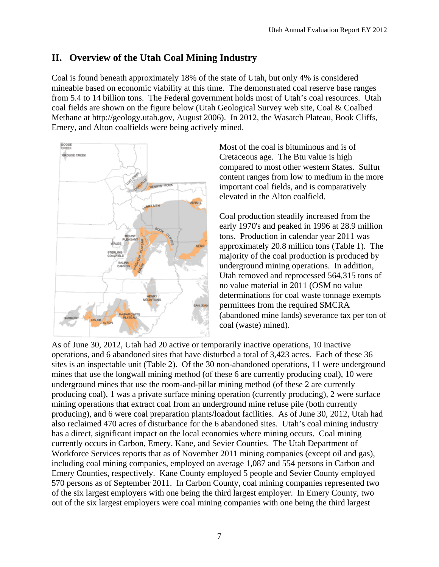# **II. Overview of the Utah Coal Mining Industry**

Coal is found beneath approximately 18% of the state of Utah, but only 4% is considered mineable based on economic viability at this time. The demonstrated coal reserve base ranges from 5.4 to 14 billion tons. The Federal government holds most of Utah's coal resources. Utah coal fields are shown on the figure below (Utah Geological Survey web site, Coal & Coalbed Methane at http://geology.utah.gov, August 2006). In 2012, the Wasatch Plateau, Book Cliffs, Emery, and Alton coalfields were being actively mined.



Most of the coal is bituminous and is of Cretaceous age. The Btu value is high compared to most other western States. Sulfur content ranges from low to medium in the more important coal fields, and is comparatively elevated in the Alton coalfield.

Coal production steadily increased from the early 1970's and peaked in 1996 at 28.9 million tons. Production in calendar year 2011 was approximately 20.8 million tons (Table 1). The majority of the coal production is produced by underground mining operations. In addition, Utah removed and reprocessed 564,315 tons of no value material in 2011 (OSM no value determinations for coal waste tonnage exempts permittees from the required SMCRA (abandoned mine lands) severance tax per ton of coal (waste) mined).

As of June 30, 2012, Utah had 20 active or temporarily inactive operations, 10 inactive operations, and 6 abandoned sites that have disturbed a total of 3,423 acres. Each of these 36 sites is an inspectable unit (Table 2). Of the 30 non-abandoned operations, 11 were underground mines that use the longwall mining method (of these 6 are currently producing coal), 10 were underground mines that use the room-and-pillar mining method (of these 2 are currently producing coal), 1 was a private surface mining operation (currently producing), 2 were surface mining operations that extract coal from an underground mine refuse pile (both currently producing), and 6 were coal preparation plants/loadout facilities. As of June 30, 2012, Utah had also reclaimed 470 acres of disturbance for the 6 abandoned sites. Utah's coal mining industry has a direct, significant impact on the local economies where mining occurs. Coal mining currently occurs in Carbon, Emery, Kane, and Sevier Counties. The Utah Department of Workforce Services reports that as of November 2011 mining companies (except oil and gas), including coal mining companies, employed on average 1,087 and 554 persons in Carbon and Emery Counties, respectively. Kane County employed 5 people and Sevier County employed 570 persons as of September 2011. In Carbon County, coal mining companies represented two of the six largest employers with one being the third largest employer. In Emery County, two out of the six largest employers were coal mining companies with one being the third largest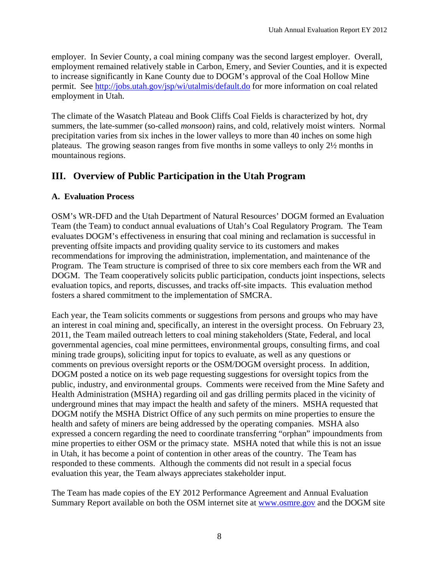employer. In Sevier County, a coal mining company was the second largest employer. Overall, employment remained relatively stable in Carbon, Emery, and Sevier Counties, and it is expected to increase significantly in Kane County due to DOGM's approval of the Coal Hollow Mine permit. See http://jobs.utah.gov/jsp/wi/utalmis/default.do for more information on coal related employment in Utah.

The climate of the Wasatch Plateau and Book Cliffs Coal Fields is characterized by hot, dry summers, the late-summer (so-called *monsoon*) rains, and cold, relatively moist winters. Normal precipitation varies from six inches in the lower valleys to more than 40 inches on some high plateaus. The growing season ranges from five months in some valleys to only 2½ months in mountainous regions.

# **III. Overview of Public Participation in the Utah Program**

## **A. Evaluation Process**

OSM's WR-DFD and the Utah Department of Natural Resources' DOGM formed an Evaluation Team (the Team) to conduct annual evaluations of Utah's Coal Regulatory Program. The Team evaluates DOGM's effectiveness in ensuring that coal mining and reclamation is successful in preventing offsite impacts and providing quality service to its customers and makes recommendations for improving the administration, implementation, and maintenance of the Program. The Team structure is comprised of three to six core members each from the WR and DOGM. The Team cooperatively solicits public participation, conducts joint inspections, selects evaluation topics, and reports, discusses, and tracks off-site impacts. This evaluation method fosters a shared commitment to the implementation of SMCRA.

Each year, the Team solicits comments or suggestions from persons and groups who may have an interest in coal mining and, specifically, an interest in the oversight process. On February 23, 2011, the Team mailed outreach letters to coal mining stakeholders (State, Federal, and local governmental agencies, coal mine permittees, environmental groups, consulting firms, and coal mining trade groups), soliciting input for topics to evaluate, as well as any questions or comments on previous oversight reports or the OSM/DOGM oversight process. In addition, DOGM posted a notice on its web page requesting suggestions for oversight topics from the public, industry, and environmental groups. Comments were received from the Mine Safety and Health Administration (MSHA) regarding oil and gas drilling permits placed in the vicinity of underground mines that may impact the health and safety of the miners. MSHA requested that DOGM notify the MSHA District Office of any such permits on mine properties to ensure the health and safety of miners are being addressed by the operating companies. MSHA also expressed a concern regarding the need to coordinate transferring "orphan" impoundments from mine properties to either OSM or the primacy state. MSHA noted that while this is not an issue in Utah, it has become a point of contention in other areas of the country. The Team has responded to these comments. Although the comments did not result in a special focus evaluation this year, the Team always appreciates stakeholder input.

The Team has made copies of the EY 2012 Performance Agreement and Annual Evaluation Summary Report available on both the OSM internet site at www.osmre.gov and the DOGM site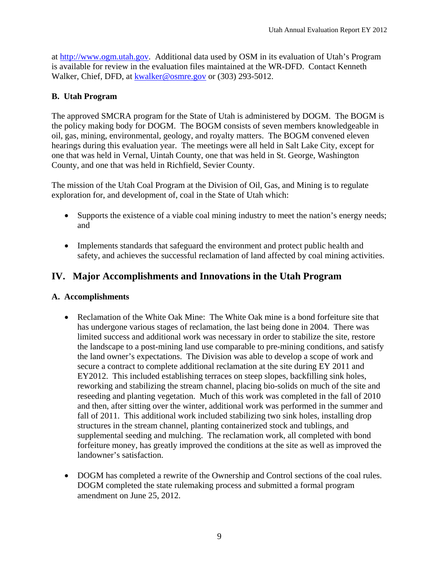at http://www.ogm.utah.gov. Additional data used by OSM in its evaluation of Utah's Program is available for review in the evaluation files maintained at the WR-DFD. Contact Kenneth Walker, Chief, DFD, at kwalker@osmre.gov or (303) 293-5012.

## **B. Utah Program**

The approved SMCRA program for the State of Utah is administered by DOGM. The BOGM is the policy making body for DOGM. The BOGM consists of seven members knowledgeable in oil, gas, mining, environmental, geology, and royalty matters. The BOGM convened eleven hearings during this evaluation year. The meetings were all held in Salt Lake City, except for one that was held in Vernal, Uintah County, one that was held in St. George, Washington County, and one that was held in Richfield, Sevier County.

The mission of the Utah Coal Program at the Division of Oil, Gas, and Mining is to regulate exploration for, and development of, coal in the State of Utah which:

- Supports the existence of a viable coal mining industry to meet the nation's energy needs; and
- Implements standards that safeguard the environment and protect public health and safety, and achieves the successful reclamation of land affected by coal mining activities.

# **IV. Major Accomplishments and Innovations in the Utah Program**

## **A. Accomplishments**

- Reclamation of the White Oak Mine: The White Oak mine is a bond for feiture site that has undergone various stages of reclamation, the last being done in 2004. There was limited success and additional work was necessary in order to stabilize the site, restore the landscape to a post-mining land use comparable to pre-mining conditions, and satisfy the land owner's expectations. The Division was able to develop a scope of work and secure a contract to complete additional reclamation at the site during EY 2011 and EY2012. This included establishing terraces on steep slopes, backfilling sink holes, reworking and stabilizing the stream channel, placing bio-solids on much of the site and reseeding and planting vegetation. Much of this work was completed in the fall of 2010 and then, after sitting over the winter, additional work was performed in the summer and fall of 2011. This additional work included stabilizing two sink holes, installing drop structures in the stream channel, planting containerized stock and tublings, and supplemental seeding and mulching. The reclamation work, all completed with bond forfeiture money, has greatly improved the conditions at the site as well as improved the landowner's satisfaction.
- DOGM has completed a rewrite of the Ownership and Control sections of the coal rules. DOGM completed the state rulemaking process and submitted a formal program amendment on June 25, 2012.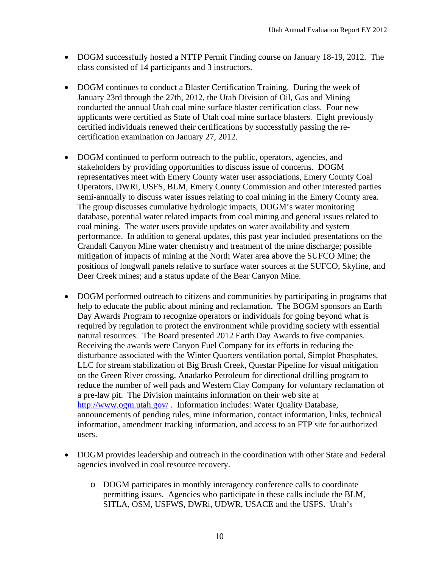- DOGM successfully hosted a NTTP Permit Finding course on January 18-19, 2012. The class consisted of 14 participants and 3 instructors.
- DOGM continues to conduct a Blaster Certification Training. During the week of January 23rd through the 27th, 2012, the Utah Division of Oil, Gas and Mining conducted the annual Utah coal mine surface blaster certification class. Four new applicants were certified as State of Utah coal mine surface blasters. Eight previously certified individuals renewed their certifications by successfully passing the recertification examination on January 27, 2012.
- DOGM continued to perform outreach to the public, operators, agencies, and stakeholders by providing opportunities to discuss issue of concerns. DOGM representatives meet with Emery County water user associations, Emery County Coal Operators, DWRi, USFS, BLM, Emery County Commission and other interested parties semi-annually to discuss water issues relating to coal mining in the Emery County area. The group discusses cumulative hydrologic impacts, DOGM's water monitoring database, potential water related impacts from coal mining and general issues related to coal mining. The water users provide updates on water availability and system performance. In addition to general updates, this past year included presentations on the Crandall Canyon Mine water chemistry and treatment of the mine discharge; possible mitigation of impacts of mining at the North Water area above the SUFCO Mine; the positions of longwall panels relative to surface water sources at the SUFCO, Skyline, and Deer Creek mines; and a status update of the Bear Canyon Mine.
- DOGM performed outreach to citizens and communities by participating in programs that help to educate the public about mining and reclamation. The BOGM sponsors an Earth Day Awards Program to recognize operators or individuals for going beyond what is required by regulation to protect the environment while providing society with essential natural resources. The Board presented 2012 Earth Day Awards to five companies. Receiving the awards were Canyon Fuel Company for its efforts in reducing the disturbance associated with the Winter Quarters ventilation portal, Simplot Phosphates, LLC for stream stabilization of Big Brush Creek, Questar Pipeline for visual mitigation on the Green River crossing, Anadarko Petroleum for directional drilling program to reduce the number of well pads and Western Clay Company for voluntary reclamation of a pre-law pit. The Division maintains information on their web site at http://www.ogm.utah.gov/ . Information includes: Water Quality Database, announcements of pending rules, mine information, contact information, links, technical information, amendment tracking information, and access to an FTP site for authorized users.
- DOGM provides leadership and outreach in the coordination with other State and Federal agencies involved in coal resource recovery.
	- o DOGM participates in monthly interagency conference calls to coordinate permitting issues. Agencies who participate in these calls include the BLM, SITLA, OSM, USFWS, DWRi, UDWR, USACE and the USFS. Utah's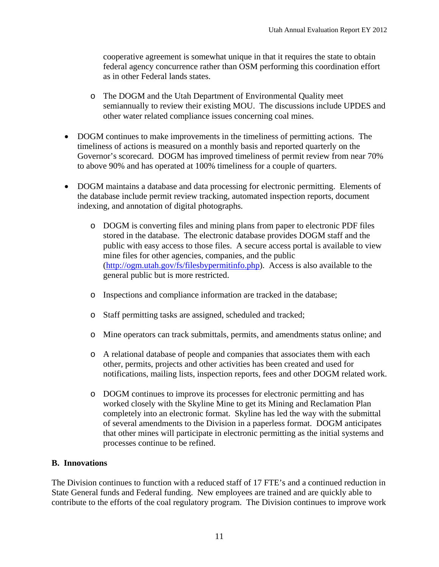cooperative agreement is somewhat unique in that it requires the state to obtain federal agency concurrence rather than OSM performing this coordination effort as in other Federal lands states.

- o The DOGM and the Utah Department of Environmental Quality meet semiannually to review their existing MOU. The discussions include UPDES and other water related compliance issues concerning coal mines.
- DOGM continues to make improvements in the timeliness of permitting actions. The timeliness of actions is measured on a monthly basis and reported quarterly on the Governor's scorecard. DOGM has improved timeliness of permit review from near 70% to above 90% and has operated at 100% timeliness for a couple of quarters.
- DOGM maintains a database and data processing for electronic permitting. Elements of the database include permit review tracking, automated inspection reports, document indexing, and annotation of digital photographs.
	- o DOGM is converting files and mining plans from paper to electronic PDF files stored in the database. The electronic database provides DOGM staff and the public with easy access to those files. A secure access portal is available to view mine files for other agencies, companies, and the public (http://ogm.utah.gov/fs/filesbypermitinfo.php). Access is also available to the general public but is more restricted.
	- o Inspections and compliance information are tracked in the database;
	- o Staff permitting tasks are assigned, scheduled and tracked;
	- o Mine operators can track submittals, permits, and amendments status online; and
	- o A relational database of people and companies that associates them with each other, permits, projects and other activities has been created and used for notifications, mailing lists, inspection reports, fees and other DOGM related work.
	- o DOGM continues to improve its processes for electronic permitting and has worked closely with the Skyline Mine to get its Mining and Reclamation Plan completely into an electronic format. Skyline has led the way with the submittal of several amendments to the Division in a paperless format. DOGM anticipates that other mines will participate in electronic permitting as the initial systems and processes continue to be refined.

### **B. Innovations**

The Division continues to function with a reduced staff of 17 FTE's and a continued reduction in State General funds and Federal funding. New employees are trained and are quickly able to contribute to the efforts of the coal regulatory program. The Division continues to improve work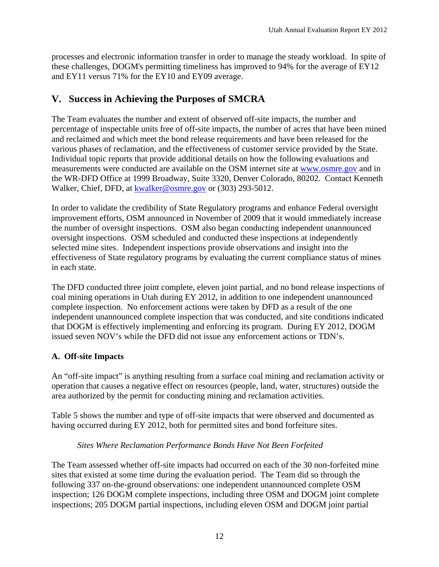processes and electronic information transfer in order to manage the steady workload. In spite of these challenges, DOGM's permitting timeliness has improved to 94% for the average of EY12 and EY11 versus 71% for the EY10 and EY09 average.

# **V. Success in Achieving the Purposes of SMCRA**

The Team evaluates the number and extent of observed off-site impacts, the number and percentage of inspectable units free of off-site impacts, the number of acres that have been mined and reclaimed and which meet the bond release requirements and have been released for the various phases of reclamation, and the effectiveness of customer service provided by the State. Individual topic reports that provide additional details on how the following evaluations and measurements were conducted are available on the OSM internet site at www.osmre.gov and in the WR-DFD Office at 1999 Broadway, Suite 3320, Denver Colorado, 80202. Contact Kenneth Walker, Chief, DFD, at kwalker@osmre.gov or (303) 293-5012.

In order to validate the credibility of State Regulatory programs and enhance Federal oversight improvement efforts, OSM announced in November of 2009 that it would immediately increase the number of oversight inspections. OSM also began conducting independent unannounced oversight inspections. OSM scheduled and conducted these inspections at independently selected mine sites. Independent inspections provide observations and insight into the effectiveness of State regulatory programs by evaluating the current compliance status of mines in each state.

The DFD conducted three joint complete, eleven joint partial, and no bond release inspections of coal mining operations in Utah during EY 2012, in addition to one independent unannounced complete inspection. No enforcement actions were taken by DFD as a result of the one independent unannounced complete inspection that was conducted, and site conditions indicated that DOGM is effectively implementing and enforcing its program. During EY 2012, DOGM issued seven NOV's while the DFD did not issue any enforcement actions or TDN's.

## **A. Off-site Impacts**

An "off-site impact" is anything resulting from a surface coal mining and reclamation activity or operation that causes a negative effect on resources (people, land, water, structures) outside the area authorized by the permit for conducting mining and reclamation activities.

Table 5 shows the number and type of off-site impacts that were observed and documented as having occurred during EY 2012, both for permitted sites and bond forfeiture sites.

## *Sites Where Reclamation Performance Bonds Have Not Been Forfeited*

The Team assessed whether off-site impacts had occurred on each of the 30 non-forfeited mine sites that existed at some time during the evaluation period. The Team did so through the following 337 on-the-ground observations: one independent unannounced complete OSM inspection; 126 DOGM complete inspections, including three OSM and DOGM joint complete inspections; 205 DOGM partial inspections, including eleven OSM and DOGM joint partial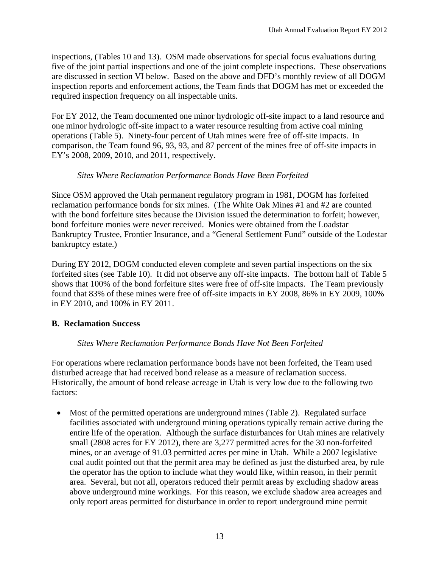inspections, (Tables 10 and 13). OSM made observations for special focus evaluations during five of the joint partial inspections and one of the joint complete inspections. These observations are discussed in section VI below. Based on the above and DFD's monthly review of all DOGM inspection reports and enforcement actions, the Team finds that DOGM has met or exceeded the required inspection frequency on all inspectable units.

For EY 2012, the Team documented one minor hydrologic off-site impact to a land resource and one minor hydrologic off-site impact to a water resource resulting from active coal mining operations (Table 5). Ninety-four percent of Utah mines were free of off-site impacts. In comparison, the Team found 96, 93, 93, and 87 percent of the mines free of off-site impacts in EY's 2008, 2009, 2010, and 2011, respectively.

## *Sites Where Reclamation Performance Bonds Have Been Forfeited*

Since OSM approved the Utah permanent regulatory program in 1981, DOGM has forfeited reclamation performance bonds for six mines. (The White Oak Mines #1 and #2 are counted with the bond forfeiture sites because the Division issued the determination to forfeit; however, bond forfeiture monies were never received. Monies were obtained from the Loadstar Bankruptcy Trustee, Frontier Insurance, and a "General Settlement Fund" outside of the Lodestar bankruptcy estate.)

During EY 2012, DOGM conducted eleven complete and seven partial inspections on the six forfeited sites (see Table 10). It did not observe any off-site impacts. The bottom half of Table 5 shows that 100% of the bond forfeiture sites were free of off-site impacts. The Team previously found that 83% of these mines were free of off-site impacts in EY 2008, 86% in EY 2009, 100% in EY 2010, and 100% in EY 2011.

## **B. Reclamation Success**

## *Sites Where Reclamation Performance Bonds Have Not Been Forfeited*

For operations where reclamation performance bonds have not been forfeited, the Team used disturbed acreage that had received bond release as a measure of reclamation success. Historically, the amount of bond release acreage in Utah is very low due to the following two factors:

 Most of the permitted operations are underground mines (Table 2). Regulated surface facilities associated with underground mining operations typically remain active during the entire life of the operation. Although the surface disturbances for Utah mines are relatively small (2808 acres for EY 2012), there are 3,277 permitted acres for the 30 non-forfeited mines, or an average of 91.03 permitted acres per mine in Utah. While a 2007 legislative coal audit pointed out that the permit area may be defined as just the disturbed area, by rule the operator has the option to include what they would like, within reason, in their permit area. Several, but not all, operators reduced their permit areas by excluding shadow areas above underground mine workings. For this reason, we exclude shadow area acreages and only report areas permitted for disturbance in order to report underground mine permit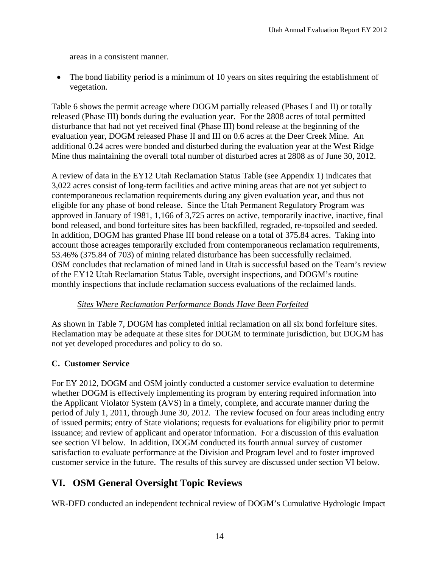areas in a consistent manner.

• The bond liability period is a minimum of 10 years on sites requiring the establishment of vegetation.

Table 6 shows the permit acreage where DOGM partially released (Phases I and II) or totally released (Phase III) bonds during the evaluation year. For the 2808 acres of total permitted disturbance that had not yet received final (Phase III) bond release at the beginning of the evaluation year, DOGM released Phase II and III on 0.6 acres at the Deer Creek Mine. An additional 0.24 acres were bonded and disturbed during the evaluation year at the West Ridge Mine thus maintaining the overall total number of disturbed acres at 2808 as of June 30, 2012.

A review of data in the EY12 Utah Reclamation Status Table (see Appendix 1) indicates that 3,022 acres consist of long-term facilities and active mining areas that are not yet subject to contemporaneous reclamation requirements during any given evaluation year, and thus not eligible for any phase of bond release. Since the Utah Permanent Regulatory Program was approved in January of 1981, 1,166 of 3,725 acres on active, temporarily inactive, inactive, final bond released, and bond forfeiture sites has been backfilled, regraded, re-topsoiled and seeded. In addition, DOGM has granted Phase III bond release on a total of 375.84 acres. Taking into account those acreages temporarily excluded from contemporaneous reclamation requirements, 53.46% (375.84 of 703) of mining related disturbance has been successfully reclaimed. OSM concludes that reclamation of mined land in Utah is successful based on the Team's review of the EY12 Utah Reclamation Status Table, oversight inspections, and DOGM's routine monthly inspections that include reclamation success evaluations of the reclaimed lands.

## *Sites Where Reclamation Performance Bonds Have Been Forfeited*

As shown in Table 7, DOGM has completed initial reclamation on all six bond forfeiture sites. Reclamation may be adequate at these sites for DOGM to terminate jurisdiction, but DOGM has not yet developed procedures and policy to do so.

## **C. Customer Service**

For EY 2012, DOGM and OSM jointly conducted a customer service evaluation to determine whether DOGM is effectively implementing its program by entering required information into the Applicant Violator System (AVS) in a timely, complete, and accurate manner during the period of July 1, 2011, through June 30, 2012. The review focused on four areas including entry of issued permits; entry of State violations; requests for evaluations for eligibility prior to permit issuance; and review of applicant and operator information. For a discussion of this evaluation see section VI below. In addition, DOGM conducted its fourth annual survey of customer satisfaction to evaluate performance at the Division and Program level and to foster improved customer service in the future. The results of this survey are discussed under section VI below.

# **VI. OSM General Oversight Topic Reviews**

WR-DFD conducted an independent technical review of DOGM's Cumulative Hydrologic Impact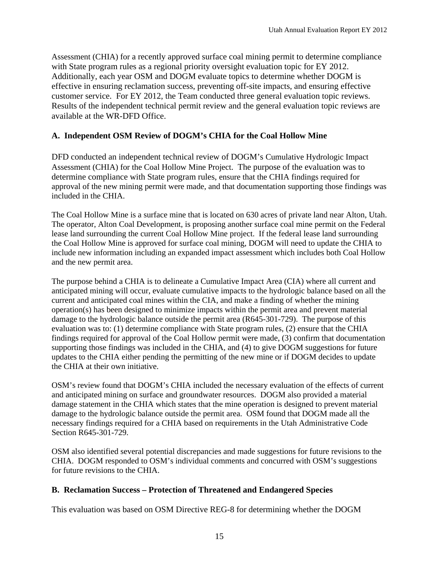Assessment (CHIA) for a recently approved surface coal mining permit to determine compliance with State program rules as a regional priority oversight evaluation topic for EY 2012. Additionally, each year OSM and DOGM evaluate topics to determine whether DOGM is effective in ensuring reclamation success, preventing off-site impacts, and ensuring effective customer service. For EY 2012, the Team conducted three general evaluation topic reviews. Results of the independent technical permit review and the general evaluation topic reviews are available at the WR-DFD Office.

## **A. Independent OSM Review of DOGM's CHIA for the Coal Hollow Mine**

DFD conducted an independent technical review of DOGM's Cumulative Hydrologic Impact Assessment (CHIA) for the Coal Hollow Mine Project. The purpose of the evaluation was to determine compliance with State program rules, ensure that the CHIA findings required for approval of the new mining permit were made, and that documentation supporting those findings was included in the CHIA.

The Coal Hollow Mine is a surface mine that is located on 630 acres of private land near Alton, Utah. The operator, Alton Coal Development, is proposing another surface coal mine permit on the Federal lease land surrounding the current Coal Hollow Mine project. If the federal lease land surrounding the Coal Hollow Mine is approved for surface coal mining, DOGM will need to update the CHIA to include new information including an expanded impact assessment which includes both Coal Hollow and the new permit area.

The purpose behind a CHIA is to delineate a Cumulative Impact Area (CIA) where all current and anticipated mining will occur, evaluate cumulative impacts to the hydrologic balance based on all the current and anticipated coal mines within the CIA, and make a finding of whether the mining operation(s) has been designed to minimize impacts within the permit area and prevent material damage to the hydrologic balance outside the permit area (R645-301-729). The purpose of this evaluation was to: (1) determine compliance with State program rules, (2) ensure that the CHIA findings required for approval of the Coal Hollow permit were made, (3) confirm that documentation supporting those findings was included in the CHIA, and (4) to give DOGM suggestions for future updates to the CHIA either pending the permitting of the new mine or if DOGM decides to update the CHIA at their own initiative.

OSM's review found that DOGM's CHIA included the necessary evaluation of the effects of current and anticipated mining on surface and groundwater resources. DOGM also provided a material damage statement in the CHIA which states that the mine operation is designed to prevent material damage to the hydrologic balance outside the permit area. OSM found that DOGM made all the necessary findings required for a CHIA based on requirements in the Utah Administrative Code Section R645-301-729.

OSM also identified several potential discrepancies and made suggestions for future revisions to the CHIA. DOGM responded to OSM's individual comments and concurred with OSM's suggestions for future revisions to the CHIA.

## **B. Reclamation Success – Protection of Threatened and Endangered Species**

This evaluation was based on OSM Directive REG-8 for determining whether the DOGM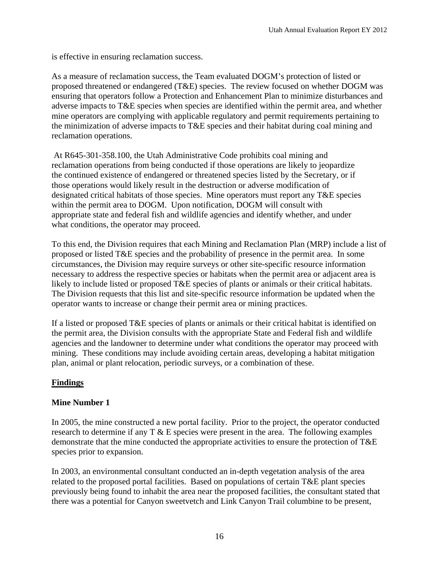is effective in ensuring reclamation success.

As a measure of reclamation success, the Team evaluated DOGM's protection of listed or proposed threatened or endangered (T&E) species. The review focused on whether DOGM was ensuring that operators follow a Protection and Enhancement Plan to minimize disturbances and adverse impacts to T&E species when species are identified within the permit area, and whether mine operators are complying with applicable regulatory and permit requirements pertaining to the minimization of adverse impacts to T&E species and their habitat during coal mining and reclamation operations.

 At R645-301-358.100, the Utah Administrative Code prohibits coal mining and reclamation operations from being conducted if those operations are likely to jeopardize the continued existence of endangered or threatened species listed by the Secretary, or if those operations would likely result in the destruction or adverse modification of designated critical habitats of those species. Mine operators must report any T&E species within the permit area to DOGM. Upon notification, DOGM will consult with appropriate state and federal fish and wildlife agencies and identify whether, and under what conditions, the operator may proceed.

To this end, the Division requires that each Mining and Reclamation Plan (MRP) include a list of proposed or listed T&E species and the probability of presence in the permit area. In some circumstances, the Division may require surveys or other site-specific resource information necessary to address the respective species or habitats when the permit area or adjacent area is likely to include listed or proposed T&E species of plants or animals or their critical habitats. The Division requests that this list and site-specific resource information be updated when the operator wants to increase or change their permit area or mining practices.

If a listed or proposed T&E species of plants or animals or their critical habitat is identified on the permit area, the Division consults with the appropriate State and Federal fish and wildlife agencies and the landowner to determine under what conditions the operator may proceed with mining. These conditions may include avoiding certain areas, developing a habitat mitigation plan, animal or plant relocation, periodic surveys, or a combination of these.

## **Findings**

## **Mine Number 1**

In 2005, the mine constructed a new portal facility. Prior to the project, the operator conducted research to determine if any T & E species were present in the area. The following examples demonstrate that the mine conducted the appropriate activities to ensure the protection of T&E species prior to expansion.

In 2003, an environmental consultant conducted an in-depth vegetation analysis of the area related to the proposed portal facilities. Based on populations of certain T&E plant species previously being found to inhabit the area near the proposed facilities, the consultant stated that there was a potential for Canyon sweetvetch and Link Canyon Trail columbine to be present,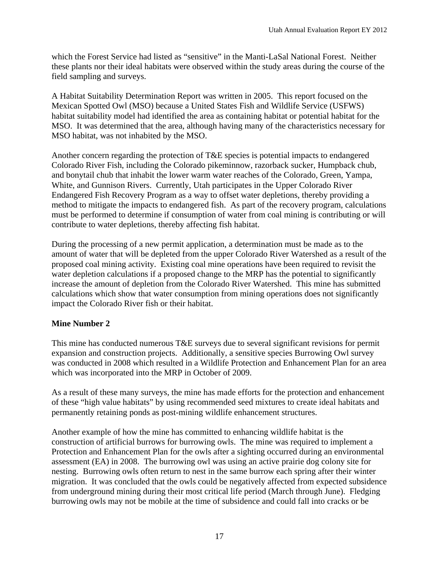which the Forest Service had listed as "sensitive" in the Manti-LaSal National Forest. Neither these plants nor their ideal habitats were observed within the study areas during the course of the field sampling and surveys.

A Habitat Suitability Determination Report was written in 2005. This report focused on the Mexican Spotted Owl (MSO) because a United States Fish and Wildlife Service (USFWS) habitat suitability model had identified the area as containing habitat or potential habitat for the MSO. It was determined that the area, although having many of the characteristics necessary for MSO habitat, was not inhabited by the MSO.

Another concern regarding the protection of T&E species is potential impacts to endangered Colorado River Fish, including the Colorado pikeminnow, razorback sucker, Humpback chub, and bonytail chub that inhabit the lower warm water reaches of the Colorado, Green, Yampa, White, and Gunnison Rivers. Currently, Utah participates in the Upper Colorado River Endangered Fish Recovery Program as a way to offset water depletions, thereby providing a method to mitigate the impacts to endangered fish. As part of the recovery program, calculations must be performed to determine if consumption of water from coal mining is contributing or will contribute to water depletions, thereby affecting fish habitat.

During the processing of a new permit application, a determination must be made as to the amount of water that will be depleted from the upper Colorado River Watershed as a result of the proposed coal mining activity. Existing coal mine operations have been required to revisit the water depletion calculations if a proposed change to the MRP has the potential to significantly increase the amount of depletion from the Colorado River Watershed. This mine has submitted calculations which show that water consumption from mining operations does not significantly impact the Colorado River fish or their habitat.

## **Mine Number 2**

This mine has conducted numerous T&E surveys due to several significant revisions for permit expansion and construction projects. Additionally, a sensitive species Burrowing Owl survey was conducted in 2008 which resulted in a Wildlife Protection and Enhancement Plan for an area which was incorporated into the MRP in October of 2009.

As a result of these many surveys, the mine has made efforts for the protection and enhancement of these "high value habitats" by using recommended seed mixtures to create ideal habitats and permanently retaining ponds as post-mining wildlife enhancement structures.

Another example of how the mine has committed to enhancing wildlife habitat is the construction of artificial burrows for burrowing owls. The mine was required to implement a Protection and Enhancement Plan for the owls after a sighting occurred during an environmental assessment (EA) in 2008. The burrowing owl was using an active prairie dog colony site for nesting. Burrowing owls often return to nest in the same burrow each spring after their winter migration. It was concluded that the owls could be negatively affected from expected subsidence from underground mining during their most critical life period (March through June). Fledging burrowing owls may not be mobile at the time of subsidence and could fall into cracks or be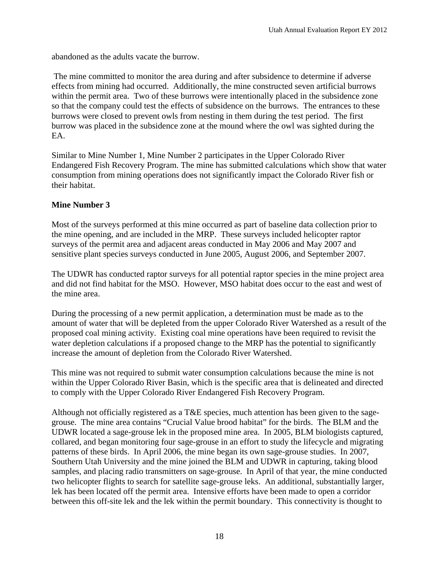abandoned as the adults vacate the burrow.

 The mine committed to monitor the area during and after subsidence to determine if adverse effects from mining had occurred. Additionally, the mine constructed seven artificial burrows within the permit area. Two of these burrows were intentionally placed in the subsidence zone so that the company could test the effects of subsidence on the burrows. The entrances to these burrows were closed to prevent owls from nesting in them during the test period. The first burrow was placed in the subsidence zone at the mound where the owl was sighted during the EA.

Similar to Mine Number 1, Mine Number 2 participates in the Upper Colorado River Endangered Fish Recovery Program. The mine has submitted calculations which show that water consumption from mining operations does not significantly impact the Colorado River fish or their habitat.

## **Mine Number 3**

Most of the surveys performed at this mine occurred as part of baseline data collection prior to the mine opening, and are included in the MRP. These surveys included helicopter raptor surveys of the permit area and adjacent areas conducted in May 2006 and May 2007 and sensitive plant species surveys conducted in June 2005, August 2006, and September 2007.

The UDWR has conducted raptor surveys for all potential raptor species in the mine project area and did not find habitat for the MSO. However, MSO habitat does occur to the east and west of the mine area.

During the processing of a new permit application, a determination must be made as to the amount of water that will be depleted from the upper Colorado River Watershed as a result of the proposed coal mining activity. Existing coal mine operations have been required to revisit the water depletion calculations if a proposed change to the MRP has the potential to significantly increase the amount of depletion from the Colorado River Watershed.

This mine was not required to submit water consumption calculations because the mine is not within the Upper Colorado River Basin, which is the specific area that is delineated and directed to comply with the Upper Colorado River Endangered Fish Recovery Program.

Although not officially registered as a T&E species, much attention has been given to the sagegrouse. The mine area contains "Crucial Value brood habitat" for the birds. The BLM and the UDWR located a sage-grouse lek in the proposed mine area. In 2005, BLM biologists captured, collared, and began monitoring four sage-grouse in an effort to study the lifecycle and migrating patterns of these birds. In April 2006, the mine began its own sage-grouse studies. In 2007, Southern Utah University and the mine joined the BLM and UDWR in capturing, taking blood samples, and placing radio transmitters on sage-grouse. In April of that year, the mine conducted two helicopter flights to search for satellite sage-grouse leks. An additional, substantially larger, lek has been located off the permit area. Intensive efforts have been made to open a corridor between this off-site lek and the lek within the permit boundary. This connectivity is thought to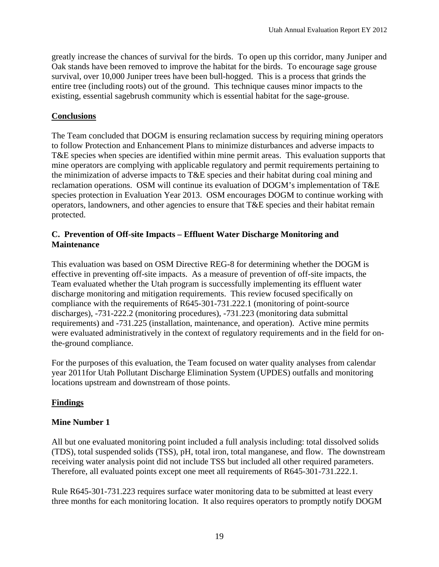greatly increase the chances of survival for the birds. To open up this corridor, many Juniper and Oak stands have been removed to improve the habitat for the birds. To encourage sage grouse survival, over 10,000 Juniper trees have been bull-hogged. This is a process that grinds the entire tree (including roots) out of the ground. This technique causes minor impacts to the existing, essential sagebrush community which is essential habitat for the sage-grouse.

## **Conclusions**

The Team concluded that DOGM is ensuring reclamation success by requiring mining operators to follow Protection and Enhancement Plans to minimize disturbances and adverse impacts to T&E species when species are identified within mine permit areas. This evaluation supports that mine operators are complying with applicable regulatory and permit requirements pertaining to the minimization of adverse impacts to T&E species and their habitat during coal mining and reclamation operations. OSM will continue its evaluation of DOGM's implementation of T&E species protection in Evaluation Year 2013. OSM encourages DOGM to continue working with operators, landowners, and other agencies to ensure that T&E species and their habitat remain protected.

## **C. Prevention of Off-site Impacts – Effluent Water Discharge Monitoring and Maintenance**

This evaluation was based on OSM Directive REG-8 for determining whether the DOGM is effective in preventing off-site impacts.As a measure of prevention of off-site impacts, the Team evaluated whether the Utah program is successfully implementing its effluent water discharge monitoring and mitigation requirements. This review focused specifically on compliance with the requirements of R645-301-731.222.1 (monitoring of point-source discharges), -731-222.2 (monitoring procedures), -731.223 (monitoring data submittal requirements) and -731.225 (installation, maintenance, and operation). Active mine permits were evaluated administratively in the context of regulatory requirements and in the field for onthe-ground compliance.

For the purposes of this evaluation, the Team focused on water quality analyses from calendar year 2011for Utah Pollutant Discharge Elimination System (UPDES) outfalls and monitoring locations upstream and downstream of those points.

## **Findings**

## **Mine Number 1**

All but one evaluated monitoring point included a full analysis including: total dissolved solids (TDS), total suspended solids (TSS), pH, total iron, total manganese, and flow. The downstream receiving water analysis point did not include TSS but included all other required parameters. Therefore, all evaluated points except one meet all requirements of R645-301-731.222.1.

Rule R645-301-731.223 requires surface water monitoring data to be submitted at least every three months for each monitoring location. It also requires operators to promptly notify DOGM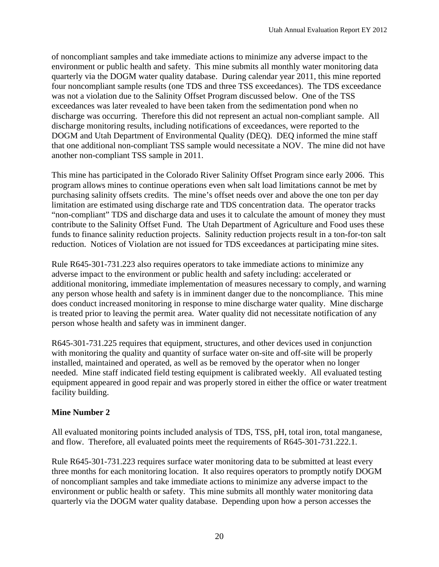of noncompliant samples and take immediate actions to minimize any adverse impact to the environment or public health and safety. This mine submits all monthly water monitoring data quarterly via the DOGM water quality database. During calendar year 2011, this mine reported four noncompliant sample results (one TDS and three TSS exceedances). The TDS exceedance was not a violation due to the Salinity Offset Program discussed below. One of the TSS exceedances was later revealed to have been taken from the sedimentation pond when no discharge was occurring. Therefore this did not represent an actual non-compliant sample. All discharge monitoring results, including notifications of exceedances, were reported to the DOGM and Utah Department of Environmental Quality (DEQ). DEQ informed the mine staff that one additional non-compliant TSS sample would necessitate a NOV. The mine did not have another non-compliant TSS sample in 2011.

This mine has participated in the Colorado River Salinity Offset Program since early 2006. This program allows mines to continue operations even when salt load limitations cannot be met by purchasing salinity offsets credits. The mine's offset needs over and above the one ton per day limitation are estimated using discharge rate and TDS concentration data. The operator tracks "non-compliant" TDS and discharge data and uses it to calculate the amount of money they must contribute to the Salinity Offset Fund. The Utah Department of Agriculture and Food uses these funds to finance salinity reduction projects. Salinity reduction projects result in a ton-for-ton salt reduction. Notices of Violation are not issued for TDS exceedances at participating mine sites.

Rule R645-301-731.223 also requires operators to take immediate actions to minimize any adverse impact to the environment or public health and safety including: accelerated or additional monitoring, immediate implementation of measures necessary to comply, and warning any person whose health and safety is in imminent danger due to the noncompliance. This mine does conduct increased monitoring in response to mine discharge water quality. Mine discharge is treated prior to leaving the permit area. Water quality did not necessitate notification of any person whose health and safety was in imminent danger.

R645-301-731.225 requires that equipment, structures, and other devices used in conjunction with monitoring the quality and quantity of surface water on-site and off-site will be properly installed, maintained and operated, as well as be removed by the operator when no longer needed. Mine staff indicated field testing equipment is calibrated weekly. All evaluated testing equipment appeared in good repair and was properly stored in either the office or water treatment facility building.

## **Mine Number 2**

All evaluated monitoring points included analysis of TDS, TSS, pH, total iron, total manganese, and flow. Therefore, all evaluated points meet the requirements of R645-301-731.222.1.

Rule R645-301-731.223 requires surface water monitoring data to be submitted at least every three months for each monitoring location. It also requires operators to promptly notify DOGM of noncompliant samples and take immediate actions to minimize any adverse impact to the environment or public health or safety. This mine submits all monthly water monitoring data quarterly via the DOGM water quality database. Depending upon how a person accesses the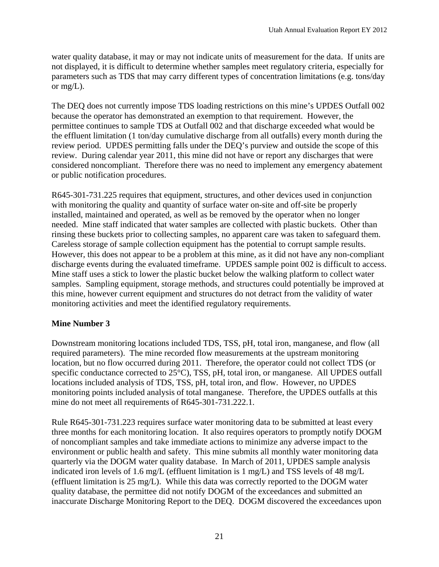water quality database, it may or may not indicate units of measurement for the data. If units are not displayed, it is difficult to determine whether samples meet regulatory criteria, especially for parameters such as TDS that may carry different types of concentration limitations (e.g. tons/day or mg/L).

The DEQ does not currently impose TDS loading restrictions on this mine's UPDES Outfall 002 because the operator has demonstrated an exemption to that requirement. However, the permittee continues to sample TDS at Outfall 002 and that discharge exceeded what would be the effluent limitation (1 ton/day cumulative discharge from all outfalls) every month during the review period. UPDES permitting falls under the DEQ's purview and outside the scope of this review. During calendar year 2011, this mine did not have or report any discharges that were considered noncompliant. Therefore there was no need to implement any emergency abatement or public notification procedures.

R645-301-731.225 requires that equipment, structures, and other devices used in conjunction with monitoring the quality and quantity of surface water on-site and off-site be properly installed, maintained and operated, as well as be removed by the operator when no longer needed. Mine staff indicated that water samples are collected with plastic buckets. Other than rinsing these buckets prior to collecting samples, no apparent care was taken to safeguard them. Careless storage of sample collection equipment has the potential to corrupt sample results. However, this does not appear to be a problem at this mine, as it did not have any non-compliant discharge events during the evaluated timeframe. UPDES sample point 002 is difficult to access. Mine staff uses a stick to lower the plastic bucket below the walking platform to collect water samples. Sampling equipment, storage methods, and structures could potentially be improved at this mine, however current equipment and structures do not detract from the validity of water monitoring activities and meet the identified regulatory requirements.

### **Mine Number 3**

Downstream monitoring locations included TDS, TSS, pH, total iron, manganese, and flow (all required parameters). The mine recorded flow measurements at the upstream monitoring location, but no flow occurred during 2011. Therefore, the operator could not collect TDS (or specific conductance corrected to 25<sup>o</sup>C), TSS, pH, total iron, or manganese. All UPDES outfall locations included analysis of TDS, TSS, pH, total iron, and flow. However, no UPDES monitoring points included analysis of total manganese. Therefore, the UPDES outfalls at this mine do not meet all requirements of R645-301-731.222.1.

Rule R645-301-731.223 requires surface water monitoring data to be submitted at least every three months for each monitoring location. It also requires operators to promptly notify DOGM of noncompliant samples and take immediate actions to minimize any adverse impact to the environment or public health and safety. This mine submits all monthly water monitoring data quarterly via the DOGM water quality database. In March of 2011, UPDES sample analysis indicated iron levels of 1.6 mg/L (effluent limitation is 1 mg/L) and TSS levels of 48 mg/L (effluent limitation is 25 mg/L). While this data was correctly reported to the DOGM water quality database, the permittee did not notify DOGM of the exceedances and submitted an inaccurate Discharge Monitoring Report to the DEQ. DOGM discovered the exceedances upon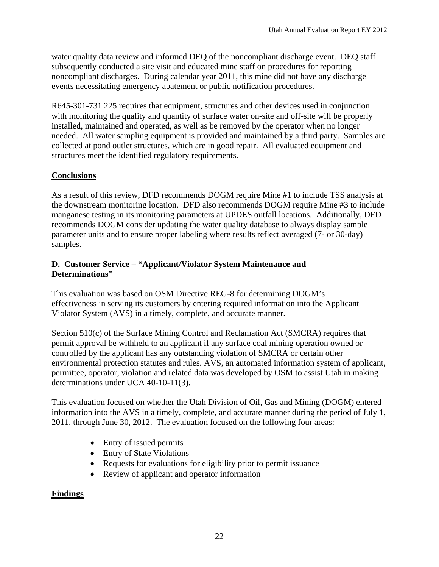water quality data review and informed DEQ of the noncompliant discharge event. DEQ staff subsequently conducted a site visit and educated mine staff on procedures for reporting noncompliant discharges. During calendar year 2011, this mine did not have any discharge events necessitating emergency abatement or public notification procedures.

R645-301-731.225 requires that equipment, structures and other devices used in conjunction with monitoring the quality and quantity of surface water on-site and off-site will be properly installed, maintained and operated, as well as be removed by the operator when no longer needed. All water sampling equipment is provided and maintained by a third party. Samples are collected at pond outlet structures, which are in good repair. All evaluated equipment and structures meet the identified regulatory requirements.

## **Conclusions**

As a result of this review, DFD recommends DOGM require Mine #1 to include TSS analysis at the downstream monitoring location. DFD also recommends DOGM require Mine #3 to include manganese testing in its monitoring parameters at UPDES outfall locations. Additionally, DFD recommends DOGM consider updating the water quality database to always display sample parameter units and to ensure proper labeling where results reflect averaged (7- or 30-day) samples.

## **D. Customer Service – "Applicant/Violator System Maintenance and Determinations"**

This evaluation was based on OSM Directive REG-8 for determining DOGM's effectiveness in serving its customers by entering required information into the Applicant Violator System (AVS) in a timely, complete, and accurate manner.

Section 510(c) of the Surface Mining Control and Reclamation Act (SMCRA) requires that permit approval be withheld to an applicant if any surface coal mining operation owned or controlled by the applicant has any outstanding violation of SMCRA or certain other environmental protection statutes and rules. AVS, an automated information system of applicant, permittee, operator, violation and related data was developed by OSM to assist Utah in making determinations under UCA 40-10-11(3).

This evaluation focused on whether the Utah Division of Oil, Gas and Mining (DOGM) entered information into the AVS in a timely, complete, and accurate manner during the period of July 1, 2011, through June 30, 2012. The evaluation focused on the following four areas:

- Entry of issued permits
- Entry of State Violations
- Requests for evaluations for eligibility prior to permit issuance
- Review of applicant and operator information

## **Findings**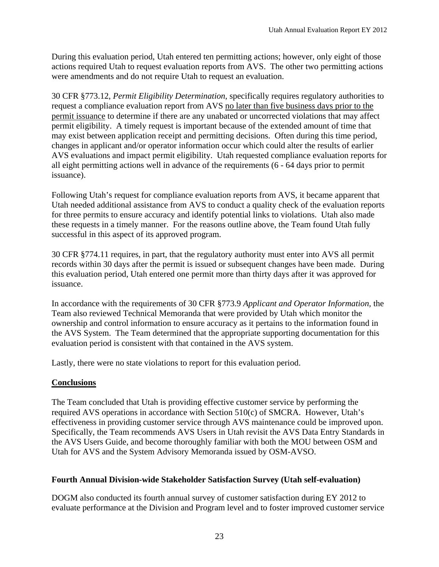During this evaluation period, Utah entered ten permitting actions; however, only eight of those actions required Utah to request evaluation reports from AVS. The other two permitting actions were amendments and do not require Utah to request an evaluation.

30 CFR §773.12, *Permit Eligibility Determination*, specifically requires regulatory authorities to request a compliance evaluation report from AVS no later than five business days prior to the permit issuance to determine if there are any unabated or uncorrected violations that may affect permit eligibility. A timely request is important because of the extended amount of time that may exist between application receipt and permitting decisions. Often during this time period, changes in applicant and/or operator information occur which could alter the results of earlier AVS evaluations and impact permit eligibility. Utah requested compliance evaluation reports for all eight permitting actions well in advance of the requirements (6 - 64 days prior to permit issuance).

Following Utah's request for compliance evaluation reports from AVS, it became apparent that Utah needed additional assistance from AVS to conduct a quality check of the evaluation reports for three permits to ensure accuracy and identify potential links to violations. Utah also made these requests in a timely manner. For the reasons outline above, the Team found Utah fully successful in this aspect of its approved program.

30 CFR §774.11 requires, in part, that the regulatory authority must enter into AVS all permit records within 30 days after the permit is issued or subsequent changes have been made. During this evaluation period, Utah entered one permit more than thirty days after it was approved for issuance.

In accordance with the requirements of 30 CFR §773.9 *Applicant and Operator Information,* the Team also reviewed Technical Memoranda that were provided by Utah which monitor the ownership and control information to ensure accuracy as it pertains to the information found in the AVS System. The Team determined that the appropriate supporting documentation for this evaluation period is consistent with that contained in the AVS system.

Lastly, there were no state violations to report for this evaluation period.

## **Conclusions**

The Team concluded that Utah is providing effective customer service by performing the required AVS operations in accordance with Section 510(c) of SMCRA. However, Utah's effectiveness in providing customer service through AVS maintenance could be improved upon. Specifically, the Team recommends AVS Users in Utah revisit the AVS Data Entry Standards in the AVS Users Guide, and become thoroughly familiar with both the MOU between OSM and Utah for AVS and the System Advisory Memoranda issued by OSM-AVSO.

## **Fourth Annual Division-wide Stakeholder Satisfaction Survey (Utah self-evaluation)**

DOGM also conducted its fourth annual survey of customer satisfaction during EY 2012 to evaluate performance at the Division and Program level and to foster improved customer service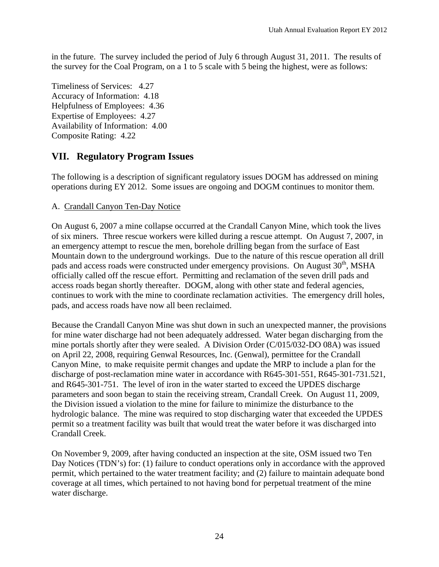in the future. The survey included the period of July 6 through August 31, 2011. The results of the survey for the Coal Program, on a 1 to 5 scale with 5 being the highest, were as follows:

Timeliness of Services: 4.27 Accuracy of Information: 4.18 Helpfulness of Employees: 4.36 Expertise of Employees: 4.27 Availability of Information: 4.00 Composite Rating: 4.22

# **VII. Regulatory Program Issues**

The following is a description of significant regulatory issues DOGM has addressed on mining operations during EY 2012. Some issues are ongoing and DOGM continues to monitor them.

## A. Crandall Canyon Ten-Day Notice

On August 6, 2007 a mine collapse occurred at the Crandall Canyon Mine, which took the lives of six miners. Three rescue workers were killed during a rescue attempt. On August 7, 2007, in an emergency attempt to rescue the men, borehole drilling began from the surface of East Mountain down to the underground workings. Due to the nature of this rescue operation all drill pads and access roads were constructed under emergency provisions. On August  $30<sup>th</sup>$ , MSHA officially called off the rescue effort. Permitting and reclamation of the seven drill pads and access roads began shortly thereafter. DOGM, along with other state and federal agencies, continues to work with the mine to coordinate reclamation activities. The emergency drill holes, pads, and access roads have now all been reclaimed.

Because the Crandall Canyon Mine was shut down in such an unexpected manner, the provisions for mine water discharge had not been adequately addressed. Water began discharging from the mine portals shortly after they were sealed. A Division Order (C/015/032-DO 08A) was issued on April 22, 2008, requiring Genwal Resources, Inc. (Genwal), permittee for the Crandall Canyon Mine, to make requisite permit changes and update the MRP to include a plan for the discharge of post-reclamation mine water in accordance with R645-301-551, R645-301-731.521, and R645-301-751. The level of iron in the water started to exceed the UPDES discharge parameters and soon began to stain the receiving stream, Crandall Creek. On August 11, 2009, the Division issued a violation to the mine for failure to minimize the disturbance to the hydrologic balance. The mine was required to stop discharging water that exceeded the UPDES permit so a treatment facility was built that would treat the water before it was discharged into Crandall Creek.

On November 9, 2009, after having conducted an inspection at the site, OSM issued two Ten Day Notices (TDN's) for: (1) failure to conduct operations only in accordance with the approved permit, which pertained to the water treatment facility; and (2) failure to maintain adequate bond coverage at all times, which pertained to not having bond for perpetual treatment of the mine water discharge.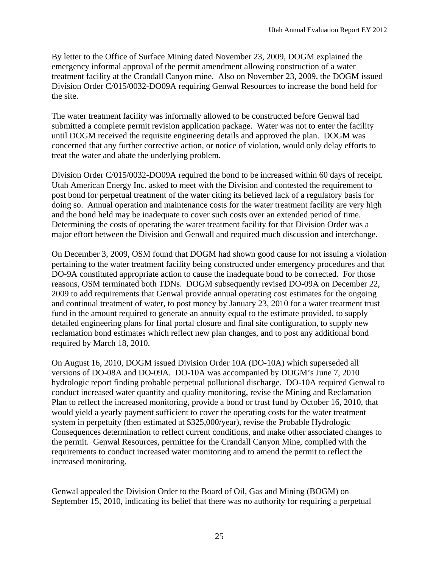By letter to the Office of Surface Mining dated November 23, 2009, DOGM explained the emergency informal approval of the permit amendment allowing construction of a water treatment facility at the Crandall Canyon mine. Also on November 23, 2009, the DOGM issued Division Order C/015/0032-DO09A requiring Genwal Resources to increase the bond held for the site.

The water treatment facility was informally allowed to be constructed before Genwal had submitted a complete permit revision application package. Water was not to enter the facility until DOGM received the requisite engineering details and approved the plan. DOGM was concerned that any further corrective action, or notice of violation, would only delay efforts to treat the water and abate the underlying problem.

Division Order C/015/0032-DO09A required the bond to be increased within 60 days of receipt. Utah American Energy Inc. asked to meet with the Division and contested the requirement to post bond for perpetual treatment of the water citing its believed lack of a regulatory basis for doing so. Annual operation and maintenance costs for the water treatment facility are very high and the bond held may be inadequate to cover such costs over an extended period of time. Determining the costs of operating the water treatment facility for that Division Order was a major effort between the Division and Genwall and required much discussion and interchange.

On December 3, 2009, OSM found that DOGM had shown good cause for not issuing a violation pertaining to the water treatment facility being constructed under emergency procedures and that DO-9A constituted appropriate action to cause the inadequate bond to be corrected. For those reasons, OSM terminated both TDNs. DOGM subsequently revised DO-09A on December 22, 2009 to add requirements that Genwal provide annual operating cost estimates for the ongoing and continual treatment of water, to post money by January 23, 2010 for a water treatment trust fund in the amount required to generate an annuity equal to the estimate provided, to supply detailed engineering plans for final portal closure and final site configuration, to supply new reclamation bond estimates which reflect new plan changes, and to post any additional bond required by March 18, 2010.

On August 16, 2010, DOGM issued Division Order 10A (DO-10A) which superseded all versions of DO-08A and DO-09A. DO-10A was accompanied by DOGM's June 7, 2010 hydrologic report finding probable perpetual pollutional discharge. DO-10A required Genwal to conduct increased water quantity and quality monitoring, revise the Mining and Reclamation Plan to reflect the increased monitoring, provide a bond or trust fund by October 16, 2010, that would yield a yearly payment sufficient to cover the operating costs for the water treatment system in perpetuity (then estimated at \$325,000/year), revise the Probable Hydrologic Consequences determination to reflect current conditions, and make other associated changes to the permit. Genwal Resources, permittee for the Crandall Canyon Mine, complied with the requirements to conduct increased water monitoring and to amend the permit to reflect the increased monitoring.

Genwal appealed the Division Order to the Board of Oil, Gas and Mining (BOGM) on September 15, 2010, indicating its belief that there was no authority for requiring a perpetual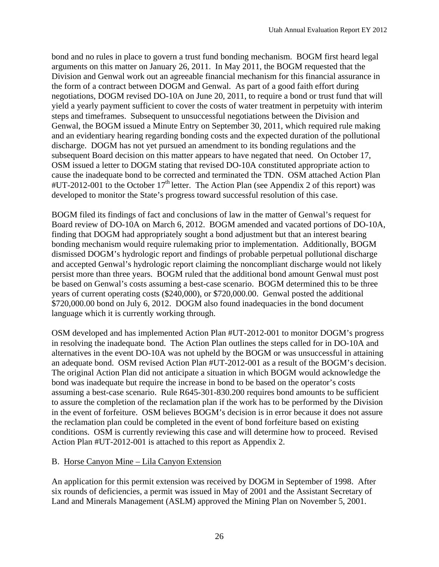bond and no rules in place to govern a trust fund bonding mechanism. BOGM first heard legal arguments on this matter on January 26, 2011. In May 2011, the BOGM requested that the Division and Genwal work out an agreeable financial mechanism for this financial assurance in the form of a contract between DOGM and Genwal. As part of a good faith effort during negotiations, DOGM revised DO-10A on June 20, 2011, to require a bond or trust fund that will yield a yearly payment sufficient to cover the costs of water treatment in perpetuity with interim steps and timeframes. Subsequent to unsuccessful negotiations between the Division and Genwal, the BOGM issued a Minute Entry on September 30, 2011, which required rule making and an evidentiary hearing regarding bonding costs and the expected duration of the pollutional discharge. DOGM has not yet pursued an amendment to its bonding regulations and the subsequent Board decision on this matter appears to have negated that need. On October 17, OSM issued a letter to DOGM stating that revised DO-10A constituted appropriate action to cause the inadequate bond to be corrected and terminated the TDN. OSM attached Action Plan  $#UT-2012-001$  to the October 17<sup>th</sup> letter. The Action Plan (see Appendix 2 of this report) was developed to monitor the State's progress toward successful resolution of this case.

BOGM filed its findings of fact and conclusions of law in the matter of Genwal's request for Board review of DO-10A on March 6, 2012. BOGM amended and vacated portions of DO-10A, finding that DOGM had appropriately sought a bond adjustment but that an interest bearing bonding mechanism would require rulemaking prior to implementation. Additionally, BOGM dismissed DOGM's hydrologic report and findings of probable perpetual pollutional discharge and accepted Genwal's hydrologic report claiming the noncompliant discharge would not likely persist more than three years. BOGM ruled that the additional bond amount Genwal must post be based on Genwal's costs assuming a best-case scenario. BOGM determined this to be three years of current operating costs (\$240,000), or \$720,000.00. Genwal posted the additional \$720,000.00 bond on July 6, 2012. DOGM also found inadequacies in the bond document language which it is currently working through.

OSM developed and has implemented Action Plan #UT-2012-001 to monitor DOGM's progress in resolving the inadequate bond. The Action Plan outlines the steps called for in DO-10A and alternatives in the event DO-10A was not upheld by the BOGM or was unsuccessful in attaining an adequate bond. OSM revised Action Plan #UT-2012-001 as a result of the BOGM's decision. The original Action Plan did not anticipate a situation in which BOGM would acknowledge the bond was inadequate but require the increase in bond to be based on the operator's costs assuming a best-case scenario. Rule R645-301-830.200 requires bond amounts to be sufficient to assure the completion of the reclamation plan if the work has to be performed by the Division in the event of forfeiture. OSM believes BOGM's decision is in error because it does not assure the reclamation plan could be completed in the event of bond forfeiture based on existing conditions. OSM is currently reviewing this case and will determine how to proceed. Revised Action Plan #UT-2012-001 is attached to this report as Appendix 2.

## B. Horse Canyon Mine – Lila Canyon Extension

An application for this permit extension was received by DOGM in September of 1998. After six rounds of deficiencies, a permit was issued in May of 2001 and the Assistant Secretary of Land and Minerals Management (ASLM) approved the Mining Plan on November 5, 2001.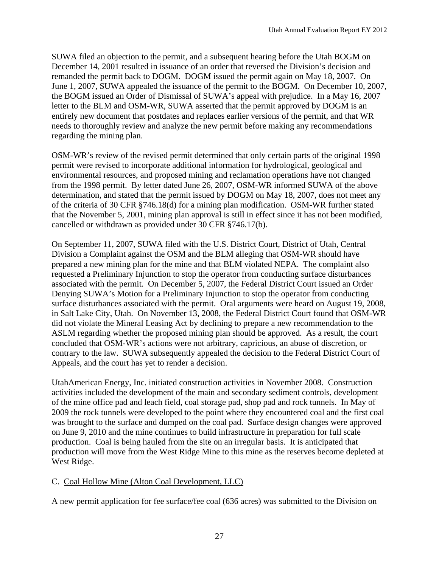SUWA filed an objection to the permit, and a subsequent hearing before the Utah BOGM on December 14, 2001 resulted in issuance of an order that reversed the Division's decision and remanded the permit back to DOGM. DOGM issued the permit again on May 18, 2007. On June 1, 2007, SUWA appealed the issuance of the permit to the BOGM. On December 10, 2007, the BOGM issued an Order of Dismissal of SUWA's appeal with prejudice. In a May 16, 2007 letter to the BLM and OSM-WR, SUWA asserted that the permit approved by DOGM is an entirely new document that postdates and replaces earlier versions of the permit, and that WR needs to thoroughly review and analyze the new permit before making any recommendations regarding the mining plan.

OSM-WR's review of the revised permit determined that only certain parts of the original 1998 permit were revised to incorporate additional information for hydrological, geological and environmental resources, and proposed mining and reclamation operations have not changed from the 1998 permit. By letter dated June 26, 2007, OSM-WR informed SUWA of the above determination, and stated that the permit issued by DOGM on May 18, 2007, does not meet any of the criteria of 30 CFR §746.18(d) for a mining plan modification. OSM-WR further stated that the November 5, 2001, mining plan approval is still in effect since it has not been modified, cancelled or withdrawn as provided under 30 CFR §746.17(b).

On September 11, 2007, SUWA filed with the U.S. District Court, District of Utah, Central Division a Complaint against the OSM and the BLM alleging that OSM-WR should have prepared a new mining plan for the mine and that BLM violated NEPA. The complaint also requested a Preliminary Injunction to stop the operator from conducting surface disturbances associated with the permit. On December 5, 2007, the Federal District Court issued an Order Denying SUWA's Motion for a Preliminary Injunction to stop the operator from conducting surface disturbances associated with the permit. Oral arguments were heard on August 19, 2008, in Salt Lake City, Utah. On November 13, 2008, the Federal District Court found that OSM-WR did not violate the Mineral Leasing Act by declining to prepare a new recommendation to the ASLM regarding whether the proposed mining plan should be approved. As a result, the court concluded that OSM-WR's actions were not arbitrary, capricious, an abuse of discretion, or contrary to the law. SUWA subsequently appealed the decision to the Federal District Court of Appeals, and the court has yet to render a decision.

UtahAmerican Energy, Inc. initiated construction activities in November 2008. Construction activities included the development of the main and secondary sediment controls, development of the mine office pad and leach field, coal storage pad, shop pad and rock tunnels. In May of 2009 the rock tunnels were developed to the point where they encountered coal and the first coal was brought to the surface and dumped on the coal pad. Surface design changes were approved on June 9, 2010 and the mine continues to build infrastructure in preparation for full scale production. Coal is being hauled from the site on an irregular basis. It is anticipated that production will move from the West Ridge Mine to this mine as the reserves become depleted at West Ridge.

## C. Coal Hollow Mine (Alton Coal Development, LLC)

A new permit application for fee surface/fee coal (636 acres) was submitted to the Division on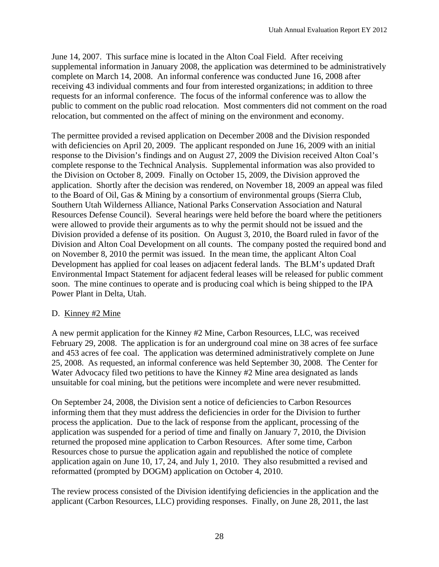June 14, 2007. This surface mine is located in the Alton Coal Field. After receiving supplemental information in January 2008, the application was determined to be administratively complete on March 14, 2008. An informal conference was conducted June 16, 2008 after receiving 43 individual comments and four from interested organizations; in addition to three requests for an informal conference. The focus of the informal conference was to allow the public to comment on the public road relocation. Most commenters did not comment on the road relocation, but commented on the affect of mining on the environment and economy.

The permittee provided a revised application on December 2008 and the Division responded with deficiencies on April 20, 2009. The applicant responded on June 16, 2009 with an initial response to the Division's findings and on August 27, 2009 the Division received Alton Coal's complete response to the Technical Analysis. Supplemental information was also provided to the Division on October 8, 2009. Finally on October 15, 2009, the Division approved the application. Shortly after the decision was rendered, on November 18, 2009 an appeal was filed to the Board of Oil, Gas & Mining by a consortium of environmental groups (Sierra Club, Southern Utah Wilderness Alliance, National Parks Conservation Association and Natural Resources Defense Council). Several hearings were held before the board where the petitioners were allowed to provide their arguments as to why the permit should not be issued and the Division provided a defense of its position. On August 3, 2010, the Board ruled in favor of the Division and Alton Coal Development on all counts. The company posted the required bond and on November 8, 2010 the permit was issued. In the mean time, the applicant Alton Coal Development has applied for coal leases on adjacent federal lands. The BLM's updated Draft Environmental Impact Statement for adjacent federal leases will be released for public comment soon. The mine continues to operate and is producing coal which is being shipped to the IPA Power Plant in Delta, Utah.

## D. Kinney #2 Mine

A new permit application for the Kinney #2 Mine, Carbon Resources, LLC, was received February 29, 2008. The application is for an underground coal mine on 38 acres of fee surface and 453 acres of fee coal. The application was determined administratively complete on June 25, 2008. As requested, an informal conference was held September 30, 2008. The Center for Water Advocacy filed two petitions to have the Kinney #2 Mine area designated as lands unsuitable for coal mining, but the petitions were incomplete and were never resubmitted.

On September 24, 2008, the Division sent a notice of deficiencies to Carbon Resources informing them that they must address the deficiencies in order for the Division to further process the application. Due to the lack of response from the applicant, processing of the application was suspended for a period of time and finally on January 7, 2010, the Division returned the proposed mine application to Carbon Resources. After some time, Carbon Resources chose to pursue the application again and republished the notice of complete application again on June 10, 17, 24, and July 1, 2010. They also resubmitted a revised and reformatted (prompted by DOGM) application on October 4, 2010.

The review process consisted of the Division identifying deficiencies in the application and the applicant (Carbon Resources, LLC) providing responses. Finally, on June 28, 2011, the last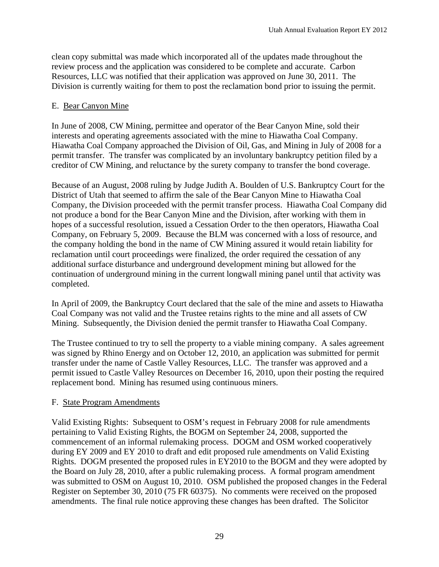clean copy submittal was made which incorporated all of the updates made throughout the review process and the application was considered to be complete and accurate. Carbon Resources, LLC was notified that their application was approved on June 30, 2011. The Division is currently waiting for them to post the reclamation bond prior to issuing the permit.

## E. Bear Canyon Mine

In June of 2008, CW Mining, permittee and operator of the Bear Canyon Mine, sold their interests and operating agreements associated with the mine to Hiawatha Coal Company. Hiawatha Coal Company approached the Division of Oil, Gas, and Mining in July of 2008 for a permit transfer. The transfer was complicated by an involuntary bankruptcy petition filed by a creditor of CW Mining, and reluctance by the surety company to transfer the bond coverage.

Because of an August, 2008 ruling by Judge Judith A. Boulden of U.S. Bankruptcy Court for the District of Utah that seemed to affirm the sale of the Bear Canyon Mine to Hiawatha Coal Company, the Division proceeded with the permit transfer process. Hiawatha Coal Company did not produce a bond for the Bear Canyon Mine and the Division, after working with them in hopes of a successful resolution, issued a Cessation Order to the then operators, Hiawatha Coal Company, on February 5, 2009. Because the BLM was concerned with a loss of resource, and the company holding the bond in the name of CW Mining assured it would retain liability for reclamation until court proceedings were finalized, the order required the cessation of any additional surface disturbance and underground development mining but allowed for the continuation of underground mining in the current longwall mining panel until that activity was completed.

In April of 2009, the Bankruptcy Court declared that the sale of the mine and assets to Hiawatha Coal Company was not valid and the Trustee retains rights to the mine and all assets of CW Mining. Subsequently, the Division denied the permit transfer to Hiawatha Coal Company.

The Trustee continued to try to sell the property to a viable mining company. A sales agreement was signed by Rhino Energy and on October 12, 2010, an application was submitted for permit transfer under the name of Castle Valley Resources, LLC. The transfer was approved and a permit issued to Castle Valley Resources on December 16, 2010, upon their posting the required replacement bond. Mining has resumed using continuous miners.

## F. State Program Amendments

Valid Existing Rights: Subsequent to OSM's request in February 2008 for rule amendments pertaining to Valid Existing Rights, the BOGM on September 24, 2008, supported the commencement of an informal rulemaking process. DOGM and OSM worked cooperatively during EY 2009 and EY 2010 to draft and edit proposed rule amendments on Valid Existing Rights. DOGM presented the proposed rules in EY2010 to the BOGM and they were adopted by the Board on July 28, 2010, after a public rulemaking process. A formal program amendment was submitted to OSM on August 10, 2010. OSM published the proposed changes in the Federal Register on September 30, 2010 (75 FR 60375). No comments were received on the proposed amendments. The final rule notice approving these changes has been drafted. The Solicitor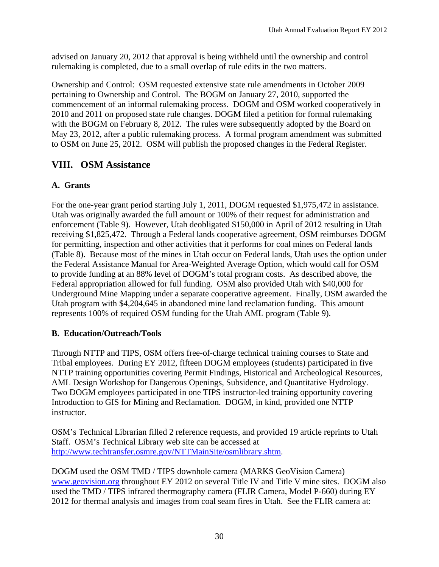advised on January 20, 2012 that approval is being withheld until the ownership and control rulemaking is completed, due to a small overlap of rule edits in the two matters.

Ownership and Control: OSM requested extensive state rule amendments in October 2009 pertaining to Ownership and Control. The BOGM on January 27, 2010, supported the commencement of an informal rulemaking process. DOGM and OSM worked cooperatively in 2010 and 2011 on proposed state rule changes. DOGM filed a petition for formal rulemaking with the BOGM on February 8, 2012. The rules were subsequently adopted by the Board on May 23, 2012, after a public rulemaking process. A formal program amendment was submitted to OSM on June 25, 2012. OSM will publish the proposed changes in the Federal Register.

# **VIII. OSM Assistance**

## **A. Grants**

For the one-year grant period starting July 1, 2011, DOGM requested \$1,975,472 in assistance. Utah was originally awarded the full amount or 100% of their request for administration and enforcement (Table 9). However, Utah deobligated \$150,000 in April of 2012 resulting in Utah receiving \$1,825,472. Through a Federal lands cooperative agreement, OSM reimburses DOGM for permitting, inspection and other activities that it performs for coal mines on Federal lands (Table 8). Because most of the mines in Utah occur on Federal lands, Utah uses the option under the Federal Assistance Manual for Area-Weighted Average Option, which would call for OSM to provide funding at an 88% level of DOGM's total program costs. As described above, the Federal appropriation allowed for full funding. OSM also provided Utah with \$40,000 for Underground Mine Mapping under a separate cooperative agreement. Finally, OSM awarded the Utah program with \$4,204,645 in abandoned mine land reclamation funding. This amount represents 100% of required OSM funding for the Utah AML program (Table 9).

## **B. Education/Outreach/Tools**

Through NTTP and TIPS, OSM offers free-of-charge technical training courses to State and Tribal employees. During EY 2012, fifteen DOGM employees (students) participated in five NTTP training opportunities covering Permit Findings, Historical and Archeological Resources, AML Design Workshop for Dangerous Openings, Subsidence, and Quantitative Hydrology. Two DOGM employees participated in one TIPS instructor-led training opportunity covering Introduction to GIS for Mining and Reclamation. DOGM, in kind, provided one NTTP instructor.

OSM's Technical Librarian filled 2 reference requests, and provided 19 article reprints to Utah Staff. OSM's Technical Library web site can be accessed at http://www.techtransfer.osmre.gov/NTTMainSite/osmlibrary.shtm.

DOGM used the OSM TMD / TIPS downhole camera (MARKS GeoVision Camera) www.geovision.org throughout EY 2012 on several Title IV and Title V mine sites. DOGM also used the TMD / TIPS infrared thermography camera (FLIR Camera, Model P-660) during EY 2012 for thermal analysis and images from coal seam fires in Utah. See the FLIR camera at: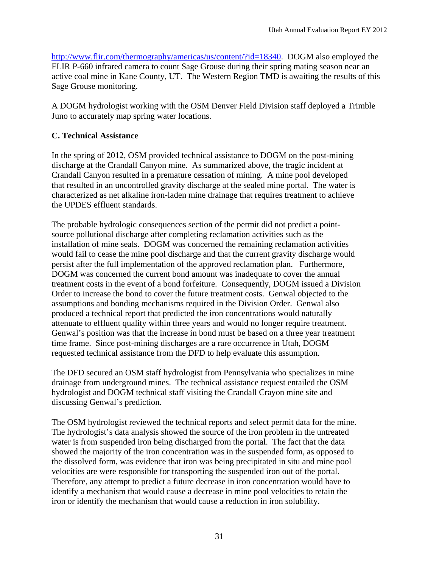http://www.flir.com/thermography/americas/us/content/?id=18340. DOGM also employed the FLIR P-660 infrared camera to count Sage Grouse during their spring mating season near an active coal mine in Kane County, UT. The Western Region TMD is awaiting the results of this Sage Grouse monitoring.

A DOGM hydrologist working with the OSM Denver Field Division staff deployed a Trimble Juno to accurately map spring water locations.

## **C. Technical Assistance**

In the spring of 2012, OSM provided technical assistance to DOGM on the post-mining discharge at the Crandall Canyon mine. As summarized above, the tragic incident at Crandall Canyon resulted in a premature cessation of mining. A mine pool developed that resulted in an uncontrolled gravity discharge at the sealed mine portal. The water is characterized as net alkaline iron-laden mine drainage that requires treatment to achieve the UPDES effluent standards.

The probable hydrologic consequences section of the permit did not predict a pointsource pollutional discharge after completing reclamation activities such as the installation of mine seals. DOGM was concerned the remaining reclamation activities would fail to cease the mine pool discharge and that the current gravity discharge would persist after the full implementation of the approved reclamation plan. Furthermore, DOGM was concerned the current bond amount was inadequate to cover the annual treatment costs in the event of a bond forfeiture. Consequently, DOGM issued a Division Order to increase the bond to cover the future treatment costs. Genwal objected to the assumptions and bonding mechanisms required in the Division Order. Genwal also produced a technical report that predicted the iron concentrations would naturally attenuate to effluent quality within three years and would no longer require treatment. Genwal's position was that the increase in bond must be based on a three year treatment time frame. Since post-mining discharges are a rare occurrence in Utah, DOGM requested technical assistance from the DFD to help evaluate this assumption.

The DFD secured an OSM staff hydrologist from Pennsylvania who specializes in mine drainage from underground mines. The technical assistance request entailed the OSM hydrologist and DOGM technical staff visiting the Crandall Crayon mine site and discussing Genwal's prediction.

The OSM hydrologist reviewed the technical reports and select permit data for the mine. The hydrologist's data analysis showed the source of the iron problem in the untreated water is from suspended iron being discharged from the portal. The fact that the data showed the majority of the iron concentration was in the suspended form, as opposed to the dissolved form, was evidence that iron was being precipitated in situ and mine pool velocities are were responsible for transporting the suspended iron out of the portal. Therefore, any attempt to predict a future decrease in iron concentration would have to identify a mechanism that would cause a decrease in mine pool velocities to retain the iron or identify the mechanism that would cause a reduction in iron solubility.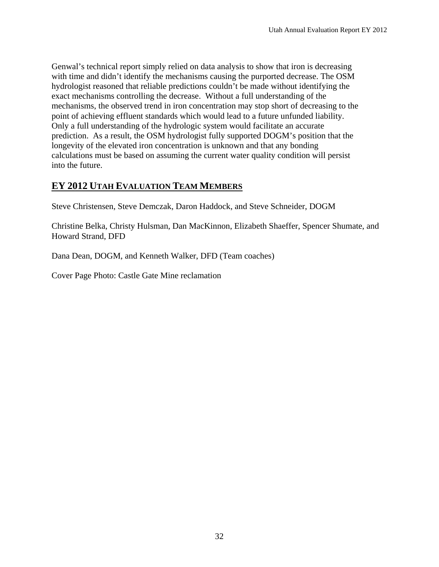Genwal's technical report simply relied on data analysis to show that iron is decreasing with time and didn't identify the mechanisms causing the purported decrease. The OSM hydrologist reasoned that reliable predictions couldn't be made without identifying the exact mechanisms controlling the decrease. Without a full understanding of the mechanisms, the observed trend in iron concentration may stop short of decreasing to the point of achieving effluent standards which would lead to a future unfunded liability. Only a full understanding of the hydrologic system would facilitate an accurate prediction. As a result, the OSM hydrologist fully supported DOGM's position that the longevity of the elevated iron concentration is unknown and that any bonding calculations must be based on assuming the current water quality condition will persist into the future.

# **EY 2012 UTAH EVALUATION TEAM MEMBERS**

Steve Christensen, Steve Demczak, Daron Haddock, and Steve Schneider, DOGM

Christine Belka, Christy Hulsman, Dan MacKinnon, Elizabeth Shaeffer, Spencer Shumate, and Howard Strand, DFD

Dana Dean, DOGM, and Kenneth Walker, DFD (Team coaches)

Cover Page Photo: Castle Gate Mine reclamation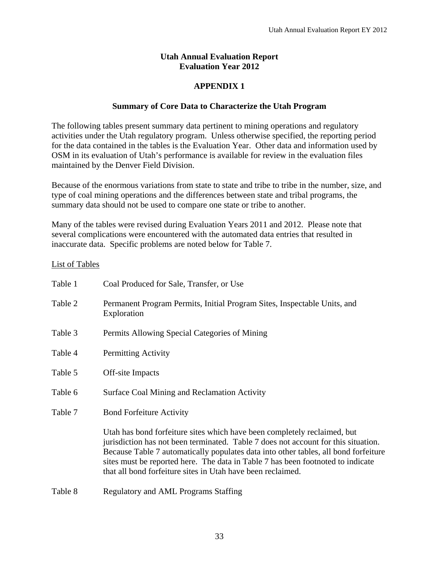### **Utah Annual Evaluation Report Evaluation Year 2012**

## **APPENDIX 1**

### **Summary of Core Data to Characterize the Utah Program**

The following tables present summary data pertinent to mining operations and regulatory activities under the Utah regulatory program. Unless otherwise specified, the reporting period for the data contained in the tables is the Evaluation Year. Other data and information used by OSM in its evaluation of Utah's performance is available for review in the evaluation files maintained by the Denver Field Division.

Because of the enormous variations from state to state and tribe to tribe in the number, size, and type of coal mining operations and the differences between state and tribal programs, the summary data should not be used to compare one state or tribe to another.

Many of the tables were revised during Evaluation Years 2011 and 2012. Please note that several complications were encountered with the automated data entries that resulted in inaccurate data. Specific problems are noted below for Table 7.

### List of Tables

| Table 1 | Coal Produced for Sale, Transfer, or Use                                                                                                                                                                                                                                                                                                                                                                |
|---------|---------------------------------------------------------------------------------------------------------------------------------------------------------------------------------------------------------------------------------------------------------------------------------------------------------------------------------------------------------------------------------------------------------|
| Table 2 | Permanent Program Permits, Initial Program Sites, Inspectable Units, and<br>Exploration                                                                                                                                                                                                                                                                                                                 |
| Table 3 | Permits Allowing Special Categories of Mining                                                                                                                                                                                                                                                                                                                                                           |
| Table 4 | <b>Permitting Activity</b>                                                                                                                                                                                                                                                                                                                                                                              |
| Table 5 | Off-site Impacts                                                                                                                                                                                                                                                                                                                                                                                        |
| Table 6 | Surface Coal Mining and Reclamation Activity                                                                                                                                                                                                                                                                                                                                                            |
| Table 7 | <b>Bond Forfeiture Activity</b>                                                                                                                                                                                                                                                                                                                                                                         |
|         | Utah has bond forfeiture sites which have been completely reclaimed, but<br>jurisdiction has not been terminated. Table 7 does not account for this situation.<br>Because Table 7 automatically populates data into other tables, all bond forfeiture<br>sites must be reported here. The data in Table 7 has been footnoted to indicate<br>that all bond forfeiture sites in Utah have been reclaimed. |
| Table 8 | <b>Regulatory and AML Programs Staffing</b>                                                                                                                                                                                                                                                                                                                                                             |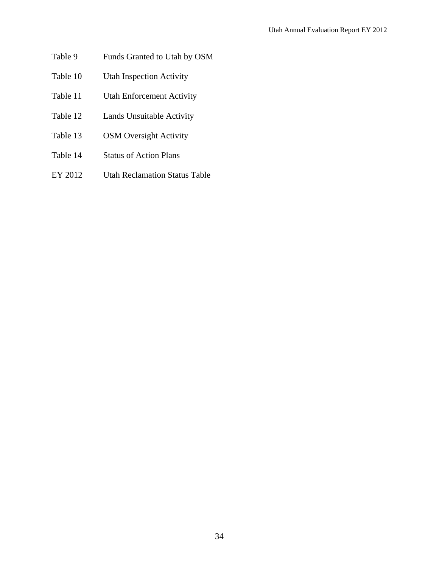- Table 9 Funds Granted to Utah by OSM
- Table 10 Utah Inspection Activity
- Table 11 Utah Enforcement Activity
- Table 12 Lands Unsuitable Activity
- Table 13 OSM Oversight Activity
- Table 14 Status of Action Plans
- EY 2012 Utah Reclamation Status Table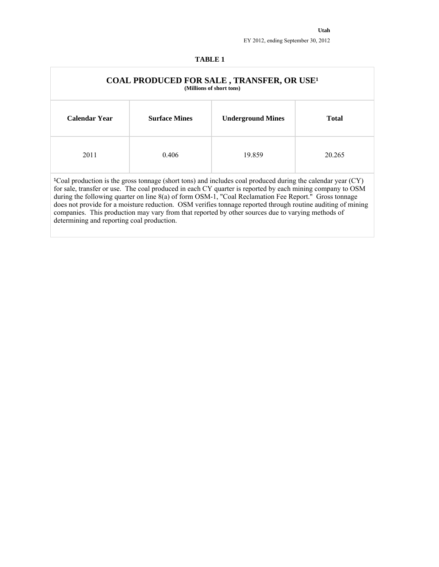#### **TABLE 1**

|               |                      | <b>COAL PRODUCED FOR SALE, TRANSFER, OR USE<sup>1</sup></b><br>(Millions of short tons)                                                                                                                                                                                                                                                                                                                                                                                                                                                                         |              |
|---------------|----------------------|-----------------------------------------------------------------------------------------------------------------------------------------------------------------------------------------------------------------------------------------------------------------------------------------------------------------------------------------------------------------------------------------------------------------------------------------------------------------------------------------------------------------------------------------------------------------|--------------|
| Calendar Year | <b>Surface Mines</b> | <b>Underground Mines</b>                                                                                                                                                                                                                                                                                                                                                                                                                                                                                                                                        | <b>Total</b> |
| 2011          | 0.406                | 19.859                                                                                                                                                                                                                                                                                                                                                                                                                                                                                                                                                          | 20.265       |
|               |                      | $\text{°}$ Coal production is the gross tonnage (short tons) and includes coal produced during the calendar year (CY)<br>for sale, transfer or use. The coal produced in each CY quarter is reported by each mining company to OSM<br>during the following quarter on line 8(a) of form OSM-1, "Coal Reclamation Fee Report." Gross tonnage<br>does not provide for a moisture reduction. OSM verifies tonnage reported through routine auditing of mining<br>companies. This production may vary from that reported by other sources due to varying methods of |              |

determining and reporting coal production.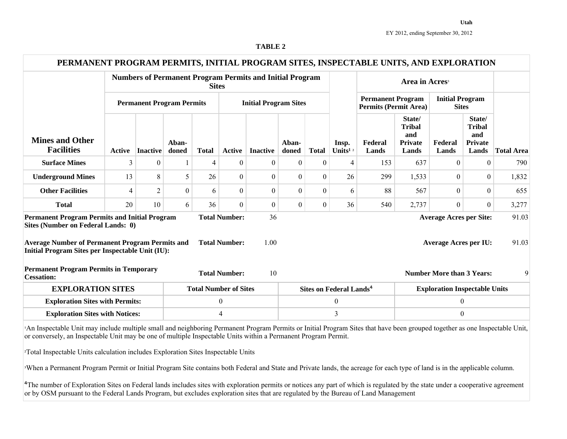| aBLF<br>− |  |
|-----------|--|
|-----------|--|

| PERMANENT PROGRAM PERMITS, INITIAL PROGRAM SITES, INSPECTABLE UNITS, AND EXPLORATION                                                                                                                                                                                                         |                                  |                |                  |              |                                              |                                                                 |                |                  |                                           |                                                          |                                                           |                                                                |                                                           |                   |
|----------------------------------------------------------------------------------------------------------------------------------------------------------------------------------------------------------------------------------------------------------------------------------------------|----------------------------------|----------------|------------------|--------------|----------------------------------------------|-----------------------------------------------------------------|----------------|------------------|-------------------------------------------|----------------------------------------------------------|-----------------------------------------------------------|----------------------------------------------------------------|-----------------------------------------------------------|-------------------|
|                                                                                                                                                                                                                                                                                              |                                  |                |                  | <b>Sites</b> |                                              | <b>Numbers of Permanent Program Permits and Initial Program</b> |                |                  |                                           |                                                          |                                                           |                                                                |                                                           |                   |
|                                                                                                                                                                                                                                                                                              | <b>Permanent Program Permits</b> |                |                  |              |                                              | <b>Initial Program Sites</b>                                    |                |                  |                                           | <b>Permanent Program</b><br><b>Permits (Permit Area)</b> |                                                           | <b>Initial Program</b><br><b>Sites</b>                         |                                                           |                   |
| <b>Mines and Other</b><br><b>Facilities</b>                                                                                                                                                                                                                                                  | Active                           | Inactive       | Aban-<br>doned   | <b>Total</b> | <b>Active</b>                                | <b>Inactive</b>                                                 | Aban-<br>doned | <b>Total</b>     | Insp.<br>Units <sup>1</sup> <sup>2</sup>  | Federal<br>Lands                                         | State/<br><b>Tribal</b><br>and<br><b>Private</b><br>Lands | Federal<br>Lands                                               | State/<br><b>Tribal</b><br>and<br><b>Private</b><br>Lands | <b>Total Area</b> |
| <b>Surface Mines</b>                                                                                                                                                                                                                                                                         | 3                                | $\theta$       |                  | 4            | $\mathbf{0}$                                 | $\overline{0}$                                                  | $\overline{0}$ | $\boldsymbol{0}$ | $\overline{4}$                            | 153                                                      | 637                                                       | $\overline{0}$                                                 | $\overline{0}$                                            | 790               |
| <b>Underground Mines</b>                                                                                                                                                                                                                                                                     | 13                               | 8              | 5                | 26           | $\theta$                                     | $\theta$                                                        | $\theta$       | $\boldsymbol{0}$ | 26                                        | 299                                                      | 1,533                                                     | $\Omega$                                                       | $\theta$                                                  | 1,832             |
| <b>Other Facilities</b>                                                                                                                                                                                                                                                                      | $\overline{4}$                   | $\overline{2}$ | $\boldsymbol{0}$ | 6            | $\overline{0}$                               | $\overline{0}$                                                  | $\overline{0}$ | $\overline{0}$   | 6                                         | 88                                                       | 567                                                       | $\overline{0}$                                                 | $\theta$                                                  | 655               |
| <b>Total</b>                                                                                                                                                                                                                                                                                 | 20                               | 10             | 6                | 36           | $\theta$                                     | $\overline{0}$                                                  | $\overline{0}$ | $\boldsymbol{0}$ | 36                                        | 540                                                      | 2,737                                                     | $\Omega$                                                       | $\theta$                                                  | 3,277             |
| <b>Permanent Program Permits and Initial Program</b><br>Sites (Number on Federal Lands: 0)<br><b>Average Number of Permanent Program Permits and</b><br>Initial Program Sites per Inspectable Unit (IU):                                                                                     |                                  |                |                  |              | <b>Total Number:</b><br><b>Total Number:</b> | 36<br>1.00                                                      |                |                  |                                           |                                                          |                                                           | <b>Average Acres per Site:</b><br><b>Average Acres per IU:</b> |                                                           | 91.03<br>91.03    |
| <b>Permanent Program Permits in Temporary</b><br><b>Cessation:</b>                                                                                                                                                                                                                           |                                  |                |                  |              | <b>Total Number:</b>                         | 10                                                              |                |                  |                                           |                                                          |                                                           | <b>Number More than 3 Years:</b>                               |                                                           | 9                 |
| <b>EXPLORATION SITES</b>                                                                                                                                                                                                                                                                     |                                  |                |                  |              | <b>Total Number of Sites</b>                 |                                                                 |                |                  | <b>Sites on Federal Lands<sup>4</sup></b> |                                                          |                                                           | <b>Exploration Inspectable Units</b>                           |                                                           |                   |
| <b>Exploration Sites with Permits:</b>                                                                                                                                                                                                                                                       |                                  |                |                  |              | $\boldsymbol{0}$                             |                                                                 |                |                  | $\boldsymbol{0}$                          |                                                          |                                                           | $\boldsymbol{0}$                                               |                                                           |                   |
| <b>Exploration Sites with Notices:</b>                                                                                                                                                                                                                                                       |                                  |                |                  |              | $\overline{4}$                               |                                                                 |                |                  | $\overline{3}$                            |                                                          |                                                           | $\boldsymbol{0}$                                               |                                                           |                   |
| An Inspectable Unit may include multiple small and neighboring Permanent Program Permits or Initial Program Sites that have been grouped together as one Inspectable Unit,<br>or conversely, an Inspectable Unit may be one of multiple Inspectable Units within a Permanent Program Permit. |                                  |                |                  |              |                                              |                                                                 |                |                  |                                           |                                                          |                                                           |                                                                |                                                           |                   |
| <sup>2</sup> Total Inspectable Units calculation includes Exploration Sites Inspectable Units                                                                                                                                                                                                |                                  |                |                  |              |                                              |                                                                 |                |                  |                                           |                                                          |                                                           |                                                                |                                                           |                   |
| <sup>3</sup> When a Permanent Program Permit or Initial Program Site contains both Federal and State and Private lands, the acreage for each type of land is in the applicable column.                                                                                                       |                                  |                |                  |              |                                              |                                                                 |                |                  |                                           |                                                          |                                                           |                                                                |                                                           |                   |

<sup>4</sup>The number of Exploration Sites on Federal lands includes sites with exploration permits or notices any part of which is regulated by the state under a cooperative agreement or by OSM pursuant to the Federal Lands Program, but excludes exploration sites that are regulated by the Bureau of Land Management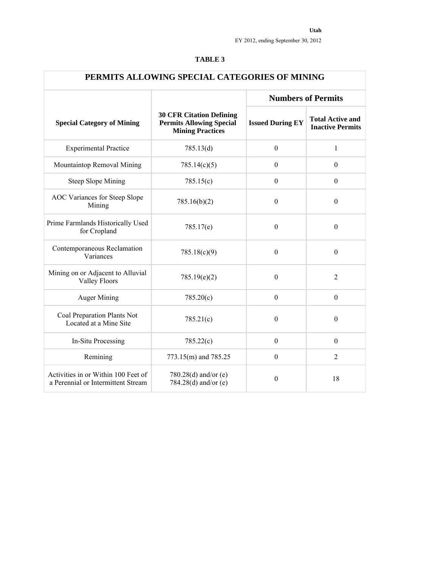| PERMITS ALLOWING SPECIAL CATEGORIES OF MINING                             |                                                                                               |                         |                                                    |  |  |  |  |  |  |  |
|---------------------------------------------------------------------------|-----------------------------------------------------------------------------------------------|-------------------------|----------------------------------------------------|--|--|--|--|--|--|--|
|                                                                           |                                                                                               |                         | <b>Numbers of Permits</b>                          |  |  |  |  |  |  |  |
| <b>Special Category of Mining</b>                                         | <b>30 CFR Citation Defining</b><br><b>Permits Allowing Special</b><br><b>Mining Practices</b> | <b>Issued During EY</b> | <b>Total Active and</b><br><b>Inactive Permits</b> |  |  |  |  |  |  |  |
| <b>Experimental Practice</b>                                              | 785.13(d)                                                                                     | $\boldsymbol{0}$        | $\mathbf{1}$                                       |  |  |  |  |  |  |  |
| Mountaintop Removal Mining                                                | 785.14(c)(5)                                                                                  | $\boldsymbol{0}$        | $\theta$                                           |  |  |  |  |  |  |  |
| <b>Steep Slope Mining</b>                                                 | 785.15(c)                                                                                     | $\boldsymbol{0}$        | $\boldsymbol{0}$                                   |  |  |  |  |  |  |  |
| AOC Variances for Steep Slope<br>Mining                                   | 785.16(b)(2)                                                                                  | $\theta$                | $\theta$                                           |  |  |  |  |  |  |  |
| Prime Farmlands Historically Used<br>for Cropland                         | 785.17(e)                                                                                     | $\boldsymbol{0}$        | $\boldsymbol{0}$                                   |  |  |  |  |  |  |  |
| Contemporaneous Reclamation<br>Variances                                  | 785.18(c)(9)                                                                                  | $\boldsymbol{0}$        | $\boldsymbol{0}$                                   |  |  |  |  |  |  |  |
| Mining on or Adjacent to Alluvial<br><b>Valley Floors</b>                 | 785.19(e)(2)                                                                                  | $\overline{0}$          | $\overline{2}$                                     |  |  |  |  |  |  |  |
| <b>Auger Mining</b>                                                       | 785.20(c)                                                                                     | $\boldsymbol{0}$        | $\boldsymbol{0}$                                   |  |  |  |  |  |  |  |
| Coal Preparation Plants Not<br>Located at a Mine Site                     | 785.21(c)                                                                                     | $\boldsymbol{0}$        | $\theta$                                           |  |  |  |  |  |  |  |
| In-Situ Processing                                                        | 785.22(c)                                                                                     | $\boldsymbol{0}$        | $\theta$                                           |  |  |  |  |  |  |  |
| Remining                                                                  | 773.15(m) and 785.25                                                                          | $\boldsymbol{0}$        | $\overline{2}$                                     |  |  |  |  |  |  |  |
| Activities in or Within 100 Feet of<br>a Perennial or Intermittent Stream | 780.28(d) and/or $(e)$<br>784.28(d) and/or $(e)$                                              | $\boldsymbol{0}$        | 18                                                 |  |  |  |  |  |  |  |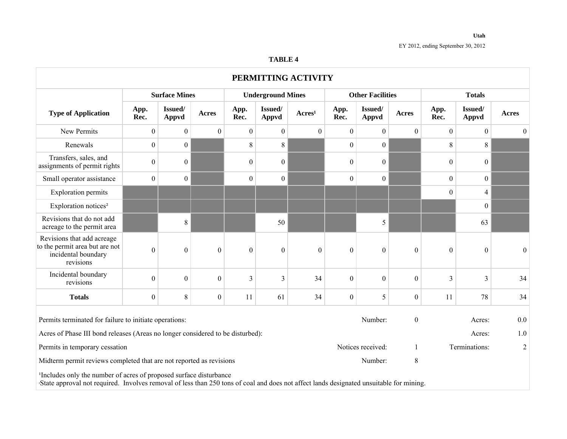### **Utah**

|                                                                                                                                                                                                                           |                  |                      |                  |                  |                          | PERMITTING ACTIVITY |                  |                         |                  |                |                  |                  |
|---------------------------------------------------------------------------------------------------------------------------------------------------------------------------------------------------------------------------|------------------|----------------------|------------------|------------------|--------------------------|---------------------|------------------|-------------------------|------------------|----------------|------------------|------------------|
|                                                                                                                                                                                                                           |                  | <b>Surface Mines</b> |                  |                  | <b>Underground Mines</b> |                     |                  | <b>Other Facilities</b> |                  | <b>Totals</b>  |                  |                  |
| <b>Type of Application</b>                                                                                                                                                                                                | App.<br>Rec.     | Issued/<br>Appvd     | <b>Acres</b>     | App.<br>Rec.     | Issued/<br>Appvd         | Arcres <sup>1</sup> | App.<br>Rec.     | Issued/<br>Appvd        | Acres            | App.<br>Rec.   | Issued/<br>Appvd | Acres            |
| New Permits                                                                                                                                                                                                               | $\boldsymbol{0}$ | $\boldsymbol{0}$     | $\boldsymbol{0}$ | $\boldsymbol{0}$ | $\boldsymbol{0}$         | $\mathbf{0}$        | $\boldsymbol{0}$ | $\mathbf{0}$            | $\theta$         | $\overline{0}$ | $\boldsymbol{0}$ | $\boldsymbol{0}$ |
| Renewals                                                                                                                                                                                                                  | $\overline{0}$   | $\boldsymbol{0}$     |                  | 8                | 8                        |                     | $\boldsymbol{0}$ | $\overline{0}$          |                  | 8              | 8                |                  |
| Transfers, sales, and<br>assignments of permit rights                                                                                                                                                                     | $\boldsymbol{0}$ | $\boldsymbol{0}$     |                  | $\boldsymbol{0}$ | $\boldsymbol{0}$         |                     | $\boldsymbol{0}$ | $\boldsymbol{0}$        |                  | $\overline{0}$ | $\boldsymbol{0}$ |                  |
| Small operator assistance                                                                                                                                                                                                 | $\overline{0}$   | $\boldsymbol{0}$     |                  | $\boldsymbol{0}$ | $\overline{0}$           |                     | $\boldsymbol{0}$ | $\boldsymbol{0}$        |                  | $\overline{0}$ | $\boldsymbol{0}$ |                  |
| <b>Exploration permits</b>                                                                                                                                                                                                |                  |                      |                  |                  |                          |                     |                  |                         |                  | 0              | 4                |                  |
| Exploration notices <sup>2</sup>                                                                                                                                                                                          |                  |                      |                  |                  |                          |                     |                  |                         |                  |                | $\boldsymbol{0}$ |                  |
| Revisions that do not add<br>acreage to the permit area                                                                                                                                                                   |                  | 8                    |                  |                  | 50                       |                     |                  | 5                       |                  |                | 63               |                  |
| Revisions that add acreage<br>to the permit area but are not<br>incidental boundary<br>revisions                                                                                                                          | $\boldsymbol{0}$ | $\boldsymbol{0}$     | $\mathbf{0}$     | $\boldsymbol{0}$ | $\mathbf{0}$             | $\boldsymbol{0}$    | $\boldsymbol{0}$ | $\mathbf{0}$            | $\boldsymbol{0}$ | $\overline{0}$ | $\mathbf{0}$     | $\boldsymbol{0}$ |
| Incidental boundary<br>revisions                                                                                                                                                                                          | $\Omega$         | $\mathbf{0}$         | $\mathbf{0}$     | $\overline{3}$   | 3                        | 34                  | $\mathbf{0}$     | $\mathbf{0}$            | $\theta$         | 3              | 3                | 34               |
| <b>Totals</b>                                                                                                                                                                                                             | $\overline{0}$   | 8                    | $\boldsymbol{0}$ | 11               | 61                       | 34                  | $\boldsymbol{0}$ | 5                       | $\boldsymbol{0}$ | 11             | 78               | 34               |
| Permits terminated for failure to initiate operations:                                                                                                                                                                    |                  |                      |                  |                  |                          |                     |                  | Number:                 | $\boldsymbol{0}$ |                | Acres:           | 0.0              |
| Acres of Phase III bond releases (Areas no longer considered to be disturbed):                                                                                                                                            |                  |                      |                  |                  |                          |                     |                  |                         |                  |                | Acres:           | $1.0\,$          |
| Permits in temporary cessation                                                                                                                                                                                            |                  |                      |                  |                  |                          |                     |                  | Notices received:       | $\mathbf{1}$     |                | Terminations:    | $\overline{2}$   |
| Midterm permit reviews completed that are not reported as revisions                                                                                                                                                       |                  |                      |                  |                  |                          |                     |                  | Number:                 | 8                |                |                  |                  |
| <sup>1</sup> Includes only the number of acres of proposed surface disturbance<br>State approval not required. Involves removal of less than 250 tons of coal and does not affect lands designated unsuitable for mining. |                  |                      |                  |                  |                          |                     |                  |                         |                  |                |                  |                  |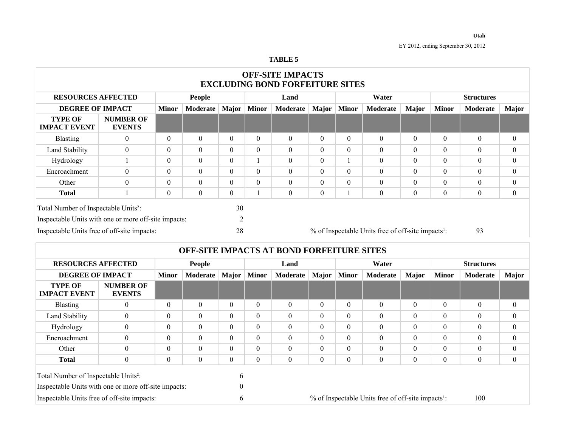| <b>OFF-SITE IMPACTS</b><br><b>EXCLUDING BOND FORFEITURE SITES</b>                                                   |                                   |                                                 |                  |          |              |          |              |              |                                                                |                |                   |                  |              |
|---------------------------------------------------------------------------------------------------------------------|-----------------------------------|-------------------------------------------------|------------------|----------|--------------|----------|--------------|--------------|----------------------------------------------------------------|----------------|-------------------|------------------|--------------|
| <b>RESOURCES AFFECTED</b>                                                                                           |                                   |                                                 | <b>People</b>    |          | Land         |          |              |              | Water                                                          |                | <b>Structures</b> |                  |              |
| <b>DEGREE OF IMPACT</b>                                                                                             |                                   | <b>Major</b><br><b>Minor</b><br><b>Moderate</b> |                  |          | <b>Minor</b> | Moderate | <b>Major</b> | <b>Minor</b> | Moderate                                                       | <b>Major</b>   | <b>Minor</b>      | Moderate         | <b>Major</b> |
| <b>TYPE OF</b><br><b>IMPACT EVENT</b>                                                                               | <b>NUMBER OF</b><br><b>EVENTS</b> |                                                 |                  |          |              |          |              |              |                                                                |                |                   |                  |              |
| <b>Blasting</b>                                                                                                     | $\theta$                          | $\theta$                                        | $\Omega$         | $\theta$ | $\Omega$     | $\Omega$ | $\theta$     | $\Omega$     | $\theta$                                                       | $\theta$       | $\Omega$          | $\theta$         | $\theta$     |
| Land Stability                                                                                                      | $\boldsymbol{0}$                  | $\mathbf{0}$                                    | $\mathbf{0}$     | $\theta$ | $\theta$     | $\theta$ | $\theta$     | $\theta$     | $\mathbf{0}$                                                   | $\overline{0}$ | $\mathbf{0}$      | $\theta$         | $\mathbf{0}$ |
| Hydrology                                                                                                           |                                   | $\theta$                                        | $\Omega$         | $\Omega$ |              | $\Omega$ | $\Omega$     |              | $\Omega$                                                       | $\Omega$       | $\Omega$          | $\theta$         | $\theta$     |
| Encroachment                                                                                                        | $\theta$                          | $\theta$                                        | $\Omega$         | $\Omega$ | $\Omega$     | $\theta$ | $\theta$     | $\Omega$     | $\theta$                                                       | $\theta$       | $\theta$          | $\theta$         | $\theta$     |
| Other                                                                                                               | $\theta$                          | $\theta$                                        | $\Omega$         | $\Omega$ | $\Omega$     | $\theta$ | $\Omega$     | $\theta$     | $\theta$                                                       | $\theta$       | $\Omega$          | $\theta$         | $\theta$     |
| <b>Total</b>                                                                                                        |                                   | $\mathbf{0}$                                    | $\boldsymbol{0}$ | $\theta$ |              | $\theta$ | $\mathbf{0}$ |              | $\overline{0}$                                                 | $\theta$       | $\boldsymbol{0}$  | $\boldsymbol{0}$ | $\mathbf{0}$ |
| 30<br>Total Number of Inspectable Units <sup>2</sup> :<br>Inspectable Units with one or more off-site impacts:<br>2 |                                   |                                                 |                  |          |              |          |              |              |                                                                |                |                   |                  |              |
| Inspectable Units free of off-site impacts:                                                                         |                                   |                                                 |                  | 28       |              |          |              |              | % of Inspectable Units free of off-site impacts <sup>1</sup> : |                |                   | 93               |              |

|                                                                                                                                |                                   |                |              |          |               | <b>OFF-SITE IMPACTS AT BOND FORFEITURE SITES</b> |                  |              |                                                                |              |              |                |              |
|--------------------------------------------------------------------------------------------------------------------------------|-----------------------------------|----------------|--------------|----------|---------------|--------------------------------------------------|------------------|--------------|----------------------------------------------------------------|--------------|--------------|----------------|--------------|
| <b>RESOURCES AFFECTED</b>                                                                                                      | People                            |                |              | Land     |               | Water                                            |                  |              | <b>Structures</b>                                              |              |              |                |              |
| <b>DEGREE OF IMPACT</b><br><b>Minor</b>                                                                                        |                                   |                | Moderate     |          | Major   Minor | Moderate                                         | <b>Major</b>     | <b>Minor</b> | Moderate                                                       | <b>Major</b> | <b>Minor</b> | Moderate       | <b>Major</b> |
| <b>TYPE OF</b><br><b>IMPACT EVENT</b>                                                                                          | <b>NUMBER OF</b><br><b>EVENTS</b> |                |              |          |               |                                                  |                  |              |                                                                |              |              |                |              |
| <b>Blasting</b>                                                                                                                | $\theta$                          | $\theta$       | $\theta$     | $\Omega$ | $\theta$      | $\theta$                                         | $\theta$         | $\theta$     | $\theta$                                                       | $\theta$     | $\theta$     | $\theta$       | $\mathbf{0}$ |
| Land Stability                                                                                                                 | $\theta$                          | $\mathbf{0}$   | $\theta$     | $\theta$ | $\theta$      | $\mathbf{0}$                                     | $\theta$         | $\theta$     | $\mathbf{0}$                                                   | $\mathbf{0}$ | $\theta$     | $\overline{0}$ | $\mathbf{0}$ |
| Hydrology                                                                                                                      | $\Omega$                          | $\theta$       | $\Omega$     | $\Omega$ | $\Omega$      | $\theta$                                         | $\theta$         | $\theta$     | $\theta$                                                       | $\theta$     | $\theta$     | $\theta$       | $\mathbf{0}$ |
| Encroachment                                                                                                                   | $\Omega$                          | $\overline{0}$ | $\theta$     | $\theta$ | $\theta$      | $\mathbf{0}$                                     | $\theta$         | $\theta$     | $\mathbf{0}$                                                   | $\theta$     | $\theta$     | $\mathbf{0}$   | $\mathbf{0}$ |
| Other                                                                                                                          | $\Omega$                          | $\theta$       | $\Omega$     | $\Omega$ | $\theta$      | $\theta$                                         | $\Omega$         | $\theta$     | $\theta$                                                       | $\theta$     | $\theta$     | $\theta$       | $\mathbf{0}$ |
| <b>Total</b>                                                                                                                   | $\theta$                          | $\overline{0}$ | $\mathbf{0}$ | $\theta$ | $\mathbf{0}$  | $\mathbf{0}$                                     | $\boldsymbol{0}$ | $\mathbf{0}$ | $\mathbf{0}$                                                   | $\mathbf{0}$ | $\mathbf{0}$ | $\mathbf{0}$   | $\mathbf{0}$ |
| Total Number of Inspectable Units <sup>2</sup> :<br>$\mathfrak b$<br>Inspectable Units with one or more off-site impacts:<br>0 |                                   |                |              |          |               |                                                  |                  |              |                                                                |              |              |                |              |
| Inspectable Units free of off-site impacts:                                                                                    |                                   |                |              | 6        |               |                                                  |                  |              | % of Inspectable Units free of off-site impacts <sup>1</sup> : |              |              | 100            |              |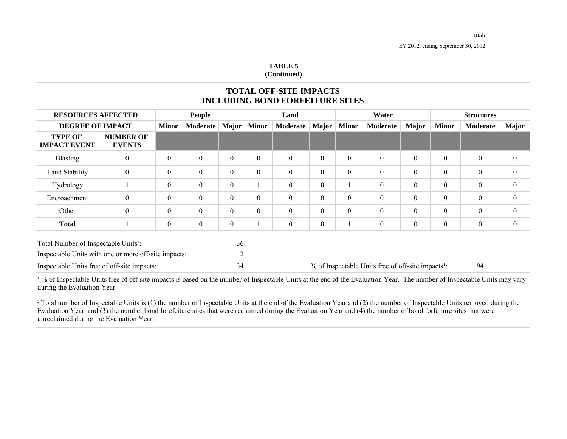#### **TABLE 5 (Continued)**

|                                                                                                          |                                   |                  |               |                      |              | <b>TOTAL OFF-SITE IMPACTS</b><br><b>INCLUDING BOND FORFEITURE SITES</b> |                  |                  |                                                                |                  |                   |                  |                  |
|----------------------------------------------------------------------------------------------------------|-----------------------------------|------------------|---------------|----------------------|--------------|-------------------------------------------------------------------------|------------------|------------------|----------------------------------------------------------------|------------------|-------------------|------------------|------------------|
| <b>RESOURCES AFFECTED</b>                                                                                |                                   |                  | <b>People</b> |                      | Land         |                                                                         |                  | Water            |                                                                |                  | <b>Structures</b> |                  |                  |
| <b>DEGREE OF IMPACT</b>                                                                                  |                                   | <b>Minor</b>     | Moderate      | <b>Major</b>         | <b>Minor</b> | Moderate                                                                | <b>Major</b>     | <b>Minor</b>     | Moderate                                                       | Major            | <b>Minor</b>      | Moderate         | <b>Major</b>     |
| <b>TYPE OF</b><br><b>IMPACT EVENT</b>                                                                    | <b>NUMBER OF</b><br><b>EVENTS</b> |                  |               |                      |              |                                                                         |                  |                  |                                                                |                  |                   |                  |                  |
| <b>Blasting</b>                                                                                          | $\mathbf{0}$                      | $\boldsymbol{0}$ | $\Omega$      | $\theta$             | $\mathbf{0}$ | $\boldsymbol{0}$                                                        | $\theta$         | $\boldsymbol{0}$ | $\boldsymbol{0}$                                               | $\theta$         | $\boldsymbol{0}$  | $\boldsymbol{0}$ | $\mathbf{0}$     |
| Land Stability                                                                                           | $\mathbf{0}$                      | $\theta$         | $\Omega$      | $\theta$             | $\theta$     | $\theta$                                                                | $\theta$         | $\theta$         | $\theta$                                                       | $\theta$         | $\theta$          | $\boldsymbol{0}$ | $\theta$         |
| Hydrology                                                                                                |                                   | $\overline{0}$   | $\theta$      | $\theta$             |              | $\boldsymbol{0}$                                                        | $\theta$         |                  | $\boldsymbol{0}$                                               | $\theta$         | $\boldsymbol{0}$  | $\mathbf{0}$     | $\mathbf{0}$     |
| Encroachment                                                                                             | $\mathbf{0}$                      | $\overline{0}$   | $\theta$      | $\theta$             | $\theta$     | $\boldsymbol{0}$                                                        | $\Omega$         | $\theta$         | $\boldsymbol{0}$                                               | $\theta$         | $\boldsymbol{0}$  | $\mathbf{0}$     | $\overline{0}$   |
| Other                                                                                                    | $\boldsymbol{0}$                  | $\theta$         | $\Omega$      | $\Omega$             | $\theta$     | $\boldsymbol{0}$                                                        | $\Omega$         | $\theta$         | $\boldsymbol{0}$                                               | $\theta$         | $\boldsymbol{0}$  | $\mathbf{0}$     | $\mathbf{0}$     |
| <b>Total</b>                                                                                             |                                   | $\overline{0}$   | $\mathbf{0}$  | $\theta$             |              | $\boldsymbol{0}$                                                        | $\boldsymbol{0}$ |                  | $\boldsymbol{0}$                                               | $\boldsymbol{0}$ | $\boldsymbol{0}$  | $\boldsymbol{0}$ | $\boldsymbol{0}$ |
| Total Number of Inspectable Units <sup>2</sup> :<br>Inspectable Units with one or more off-site impacts: |                                   |                  |               | 36<br>$\overline{2}$ |              |                                                                         |                  |                  |                                                                |                  |                   |                  |                  |
| Inspectable Units free of off-site impacts:                                                              |                                   |                  |               | 34                   |              |                                                                         |                  |                  | % of Inspectable Units free of off-site impacts <sup>1</sup> : |                  |                   | 94               |                  |

<sup>1</sup>% of Inspectable Units free of off-site impacts is based on the number of Inspectable Units at the end of the Evaluation Year. The number of Inspectable Units may vary during the Evaluation Year.

 $\frac{1}{2}$  Total number of Inspectable Units is (1) the number of Inspectable Units at the end of the Evaluation Year and (2) the number of Inspectable Units removed during the Evaluation Year and (3) the number bond forefeiture sites that were reclaimed during the Evaluation Year and  $(4)$  the number of bond forfeiture sites that were unreclaimed during the Evaluation Year.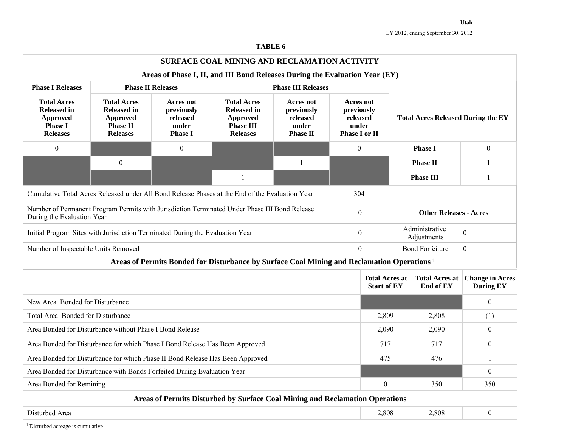#### **TABLE 6**

|                                                                                                                             |                                                                                                   |                                                                                                        | SURFACE COAL MINING AND RECLAMATION ACTIVITY |                                           |  |                                                   |  |                                    |                                            |  |  |
|-----------------------------------------------------------------------------------------------------------------------------|---------------------------------------------------------------------------------------------------|--------------------------------------------------------------------------------------------------------|----------------------------------------------|-------------------------------------------|--|---------------------------------------------------|--|------------------------------------|--------------------------------------------|--|--|
|                                                                                                                             | Areas of Phase I, II, and III Bond Releases During the Evaluation Year (EY)                       |                                                                                                        |                                              |                                           |  |                                                   |  |                                    |                                            |  |  |
| <b>Phase I Releases</b>                                                                                                     | <b>Phase II Releases</b>                                                                          |                                                                                                        |                                              |                                           |  |                                                   |  |                                    |                                            |  |  |
| <b>Total Acres</b><br><b>Released in</b><br>Approved<br><b>Phase I</b><br><b>Releases</b>                                   | <b>Total Acres</b><br><b>Released in</b><br><b>Approved</b><br><b>Phase II</b><br><b>Releases</b> | Acres not<br>previously<br>released<br>under<br><b>Phase I or II</b>                                   |                                              | <b>Total Acres Released During the EY</b> |  |                                                   |  |                                    |                                            |  |  |
| $\boldsymbol{0}$                                                                                                            |                                                                                                   | $\boldsymbol{0}$                                                                                       |                                              |                                           |  | $\Omega$                                          |  | <b>Phase I</b>                     | $\boldsymbol{0}$                           |  |  |
|                                                                                                                             | $\mathbf{0}$                                                                                      |                                                                                                        |                                              | 1                                         |  |                                                   |  | <b>Phase II</b>                    | 1                                          |  |  |
|                                                                                                                             |                                                                                                   |                                                                                                        | $\mathbf{1}$                                 |                                           |  |                                                   |  | <b>Phase III</b>                   | 1                                          |  |  |
| Cumulative Total Acres Released under All Bond Release Phases at the End of the Evaluation Year                             |                                                                                                   |                                                                                                        |                                              |                                           |  | 304                                               |  |                                    |                                            |  |  |
| Number of Permanent Program Permits with Jurisdiction Terminated Under Phase III Bond Release<br>During the Evaluation Year |                                                                                                   |                                                                                                        |                                              |                                           |  | $\boldsymbol{0}$<br><b>Other Releases - Acres</b> |  |                                    |                                            |  |  |
| Initial Program Sites with Jurisdiction Terminated During the Evaluation Year                                               |                                                                                                   |                                                                                                        |                                              |                                           |  | $\overline{0}$                                    |  | Administrative<br>Adjustments      | $\boldsymbol{0}$                           |  |  |
| Number of Inspectable Units Removed                                                                                         |                                                                                                   |                                                                                                        |                                              |                                           |  | $\overline{0}$                                    |  | <b>Bond Forfeiture</b>             | $\overline{0}$                             |  |  |
|                                                                                                                             |                                                                                                   | Areas of Permits Bonded for Disturbance by Surface Coal Mining and Reclamation Operations <sup>1</sup> |                                              |                                           |  |                                                   |  |                                    |                                            |  |  |
|                                                                                                                             |                                                                                                   |                                                                                                        |                                              |                                           |  | <b>Total Acres at</b><br><b>Start of EY</b>       |  | <b>Total Acres at</b><br>End of EY | <b>Change in Acres</b><br><b>During EY</b> |  |  |
| New Area Bonded for Disturbance                                                                                             |                                                                                                   |                                                                                                        |                                              |                                           |  |                                                   |  |                                    | $\Omega$                                   |  |  |
| Total Area Bonded for Disturbance                                                                                           |                                                                                                   |                                                                                                        |                                              |                                           |  | 2,809                                             |  | 2,808                              | (1)                                        |  |  |
| Area Bonded for Disturbance without Phase I Bond Release                                                                    |                                                                                                   |                                                                                                        |                                              |                                           |  | 2,090                                             |  | 2,090                              | $\theta$                                   |  |  |
| Area Bonded for Disturbance for which Phase I Bond Release Has Been Approved                                                |                                                                                                   |                                                                                                        |                                              |                                           |  | 717                                               |  | 717                                | $\theta$                                   |  |  |
| Area Bonded for Disturbance for which Phase II Bond Release Has Been Approved                                               |                                                                                                   |                                                                                                        |                                              |                                           |  |                                                   |  | 476                                | $\mathbf{1}$                               |  |  |
| $\overline{0}$<br>Area Bonded for Disturbance with Bonds Forfeited During Evaluation Year                                   |                                                                                                   |                                                                                                        |                                              |                                           |  |                                                   |  |                                    |                                            |  |  |
| Area Bonded for Remining                                                                                                    |                                                                                                   | 350                                                                                                    | 350                                          |                                           |  |                                                   |  |                                    |                                            |  |  |
| Areas of Permits Disturbed by Surface Coal Mining and Reclamation Operations                                                |                                                                                                   |                                                                                                        |                                              |                                           |  |                                                   |  |                                    |                                            |  |  |
| Disturbed Area                                                                                                              |                                                                                                   |                                                                                                        |                                              |                                           |  | 2,808                                             |  | 2,808                              | $\boldsymbol{0}$                           |  |  |

<sup>1</sup>Disturbed acreage is cumulative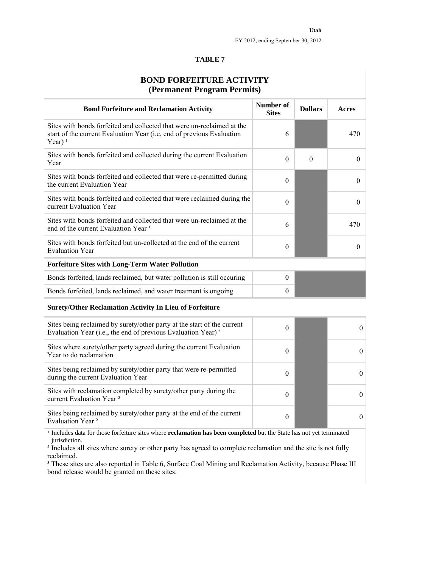#### **TABLE 7**

| <b>BOND FORFEITURE ACTIVITY</b><br>(Permanent Program Permits)                                                                                                                                                                                                                                   |                           |                |                  |
|--------------------------------------------------------------------------------------------------------------------------------------------------------------------------------------------------------------------------------------------------------------------------------------------------|---------------------------|----------------|------------------|
| <b>Bond Forfeiture and Reclamation Activity</b>                                                                                                                                                                                                                                                  | Number of<br><b>Sites</b> | <b>Dollars</b> | Acres            |
| Sites with bonds forfeited and collected that were un-reclaimed at the<br>start of the current Evaluation Year (i.e, end of previous Evaluation<br>Year) $1$                                                                                                                                     | 6                         |                | 470              |
| Sites with bonds forfeited and collected during the current Evaluation<br>Year                                                                                                                                                                                                                   | $\theta$                  | $\theta$       | $\theta$         |
| Sites with bonds forfeited and collected that were re-permitted during<br>the current Evaluation Year                                                                                                                                                                                            | $\theta$                  |                | $\theta$         |
| Sites with bonds forfeited and collected that were reclaimed during the<br>current Evaluation Year                                                                                                                                                                                               | $\theta$                  |                | $\theta$         |
| Sites with bonds forfeited and collected that were un-reclaimed at the<br>end of the current Evaluation Year <sup>1</sup>                                                                                                                                                                        | 6                         |                | 470              |
| Sites with bonds forfeited but un-collected at the end of the current<br><b>Evaluation Year</b>                                                                                                                                                                                                  | $\boldsymbol{0}$          |                | $\theta$         |
| <b>Forfeiture Sites with Long-Term Water Pollution</b>                                                                                                                                                                                                                                           |                           |                |                  |
| Bonds forfeited, lands reclaimed, but water pollution is still occuring                                                                                                                                                                                                                          | $\theta$                  |                |                  |
| Bonds forfeited, lands reclaimed, and water treatment is ongoing                                                                                                                                                                                                                                 | $\theta$                  |                |                  |
| <b>Surety/Other Reclamation Activity In Lieu of Forfeiture</b>                                                                                                                                                                                                                                   |                           |                |                  |
| Sites being reclaimed by surety/other party at the start of the current<br>Evaluation Year (i.e., the end of previous Evaluation Year) <sup>2</sup>                                                                                                                                              | $\theta$                  |                | $\mathbf{0}$     |
| Sites where surety/other party agreed during the current Evaluation<br>Year to do reclamation                                                                                                                                                                                                    | $\theta$                  |                | $\theta$         |
| Sites being reclaimed by surety/other party that were re-permitted<br>during the current Evaluation Year                                                                                                                                                                                         | $\theta$                  |                | $\mathbf{0}$     |
| Sites with reclamation completed by surety/other party during the<br>current Evaluation Year <sup>3</sup>                                                                                                                                                                                        | $\theta$                  |                | $\mathbf{0}$     |
| Sites being reclaimed by surety/other party at the end of the current<br>Evaluation Year <sup>2</sup>                                                                                                                                                                                            | $\theta$                  |                | $\boldsymbol{0}$ |
| $\mathbf{r}$ and $\mathbf{r}$ and $\mathbf{r}$ and $\mathbf{r}$ and $\mathbf{r}$ and $\mathbf{r}$ and $\mathbf{r}$ and $\mathbf{r}$ and $\mathbf{r}$ and $\mathbf{r}$ and $\mathbf{r}$ and $\mathbf{r}$ and $\mathbf{r}$ and $\mathbf{r}$ and $\mathbf{r}$ and $\mathbf{r}$ and $\mathbf{r}$ and | $-1.4 - 3.1 - 1.41$       |                |                  |

includes data only for the form for the fully recelainty recently recently recently recently recently recently recently recently recently recently recently recently recently recently recently recently recently recently rec <sup>1</sup> Includes data for those forfeiture sites where **reclamation has been completed** but the State has not yet terminated jurisdiction.

² Includes all sites where surety or other party has agreed to complete reclamation and the site is not fully reclaimed.

<sup>3</sup> These sites are also reported in Table 6, Surface Coal Mining and Reclamation Activity, because Phase III bond release would be granted on these sites.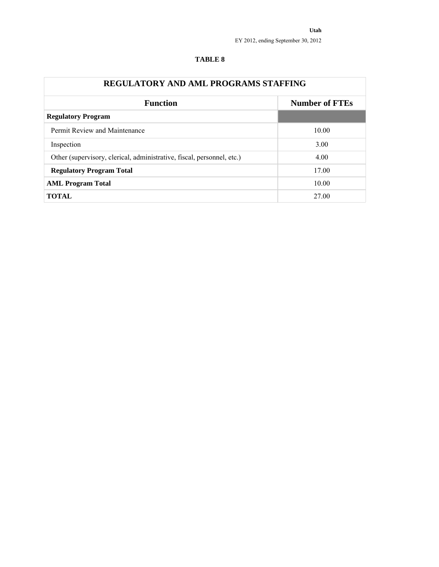| <b>REGULATORY AND AML PROGRAMS STAFFING</b>                            |                       |
|------------------------------------------------------------------------|-----------------------|
| <b>Function</b>                                                        | <b>Number of FTEs</b> |
| <b>Regulatory Program</b>                                              |                       |
| Permit Review and Maintenance                                          | 10.00                 |
| Inspection                                                             | 3.00                  |
| Other (supervisory, clerical, administrative, fiscal, personnel, etc.) | 4.00                  |
| <b>Regulatory Program Total</b>                                        | 17.00                 |
| <b>AML Program Total</b>                                               | 10.00                 |
| <b>TOTAL</b>                                                           | 27.00                 |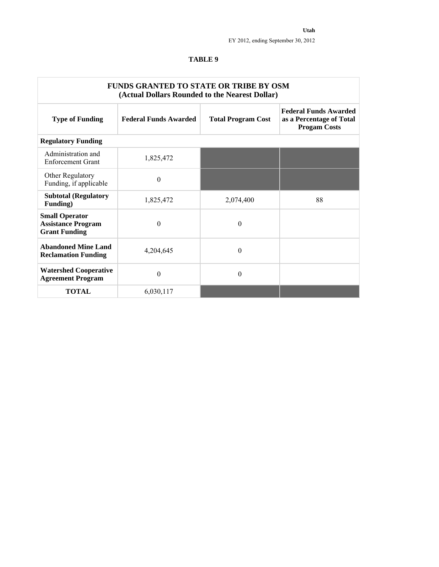|                                                                            | <b>FUNDS GRANTED TO STATE OR TRIBE BY OSM</b><br>(Actual Dollars Rounded to the Nearest Dollar) |                           |                                                                                 |
|----------------------------------------------------------------------------|-------------------------------------------------------------------------------------------------|---------------------------|---------------------------------------------------------------------------------|
| <b>Type of Funding</b>                                                     | <b>Federal Funds Awarded</b>                                                                    | <b>Total Program Cost</b> | <b>Federal Funds Awarded</b><br>as a Percentage of Total<br><b>Progam Costs</b> |
| <b>Regulatory Funding</b>                                                  |                                                                                                 |                           |                                                                                 |
| Administration and<br><b>Enforcement Grant</b>                             | 1,825,472                                                                                       |                           |                                                                                 |
| Other Regulatory<br>Funding, if applicable                                 | $\overline{0}$                                                                                  |                           |                                                                                 |
| <b>Subtotal (Regulatory</b><br>Funding)                                    | 1,825,472                                                                                       | 2,074,400                 | 88                                                                              |
| <b>Small Operator</b><br><b>Assistance Program</b><br><b>Grant Funding</b> | $\boldsymbol{0}$                                                                                | $\Omega$                  |                                                                                 |
| <b>Abandoned Mine Land</b><br><b>Reclamation Funding</b>                   | 4,204,645                                                                                       | $\Omega$                  |                                                                                 |
| <b>Watershed Cooperative</b><br><b>Agreement Program</b>                   | $\theta$                                                                                        | $\Omega$                  |                                                                                 |
| <b>TOTAL</b>                                                               | 6,030,117                                                                                       |                           |                                                                                 |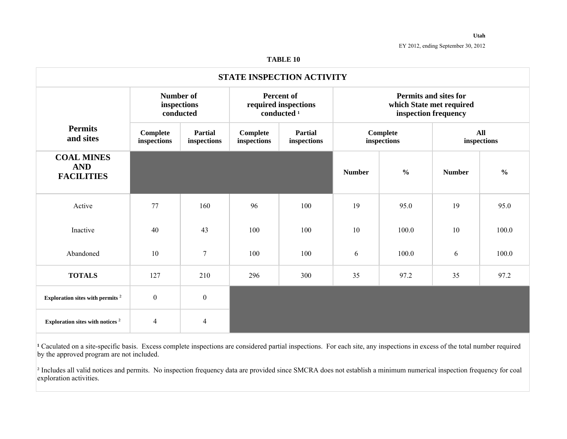#### **TABLE 10**

|                                                      |                         |                               |                         | <b>STATE INSPECTION ACTIVITY</b>                                    |               |                                                      |                          |                    |
|------------------------------------------------------|-------------------------|-------------------------------|-------------------------|---------------------------------------------------------------------|---------------|------------------------------------------------------|--------------------------|--------------------|
|                                                      | <b>Number of</b>        | inspections<br>conducted      |                         | <b>Percent of</b><br>required inspections<br>conducted <sup>1</sup> |               | <b>Permits and sites for</b><br>inspection frequency | which State met required |                    |
| <b>Permits</b><br>and sites                          | Complete<br>inspections | <b>Partial</b><br>inspections | Complete<br>inspections | <b>Partial</b><br>inspections                                       |               | <b>Complete</b><br>inspections                       |                          | All<br>inspections |
| <b>COAL MINES</b><br><b>AND</b><br><b>FACILITIES</b> |                         |                               |                         |                                                                     | <b>Number</b> | $\frac{6}{6}$                                        | <b>Number</b>            | $\frac{6}{6}$      |
| Active                                               | 77                      | 160                           | 96                      | 100                                                                 | 19            | 95.0                                                 | 19                       | 95.0               |
| Inactive                                             | 40                      | 43                            | 100                     | 100                                                                 | 10            | 100.0                                                | 10                       | 100.0              |
| Abandoned                                            | 10                      | $\overline{7}$                | 100                     | 100                                                                 | 6             | 100.0                                                | 6                        | 100.0              |
| <b>TOTALS</b>                                        | 127                     | 210                           | 296                     | 300                                                                 | 35            | 97.2                                                 | 35                       | 97.2               |
| Exploration sites with permits <sup>2</sup>          | $\boldsymbol{0}$        | $\boldsymbol{0}$              |                         |                                                                     |               |                                                      |                          |                    |
| Exploration sites with notices <sup>2</sup>          | $\overline{4}$          | $\overline{4}$                |                         |                                                                     |               |                                                      |                          |                    |

<sup>1</sup> Caculated on a site-specific basis. Excess complete inspections are considered partial inspections. For each site, any inspections in excess of the total number required by the approved program are not included.

 $\frac{1}{2}$  Includes all valid notices and permits. No inspection frequency data are provided since SMCRA does not establish a minimum numerical inspection frequency for coal exploration activities.

**Utah**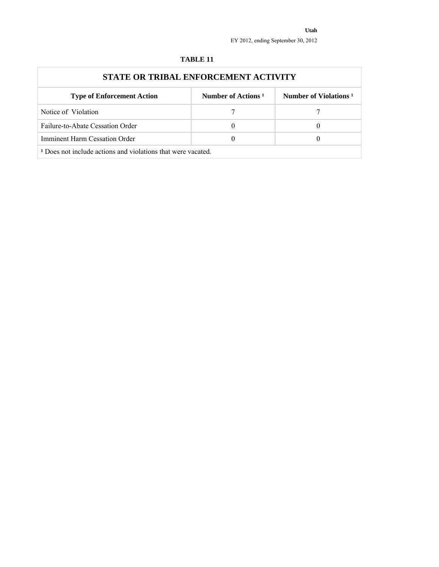| STATE OR TRIBAL ENFORCEMENT ACTIVITY                                   |                                |                                   |
|------------------------------------------------------------------------|--------------------------------|-----------------------------------|
| <b>Type of Enforcement Action</b>                                      | Number of Actions <sup>1</sup> | Number of Violations <sup>1</sup> |
| Notice of Violation                                                    |                                |                                   |
| Failure-to-Abate Cessation Order                                       | $\theta$                       |                                   |
| Imminent Harm Cessation Order                                          | $\theta$                       |                                   |
| <sup>1</sup> Does not include actions and violations that were vacated |                                |                                   |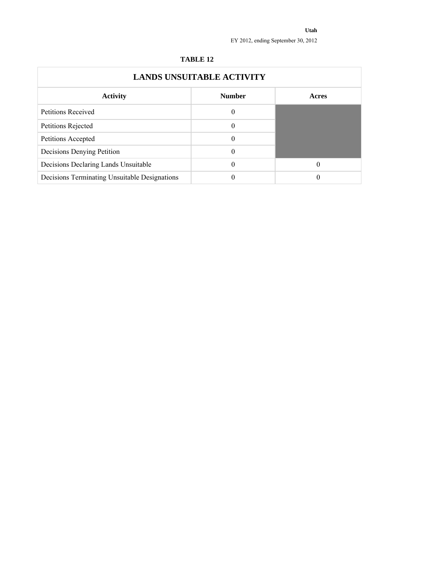|                                               | <b>LANDS UNSUITABLE ACTIVITY</b> |       |
|-----------------------------------------------|----------------------------------|-------|
| <b>Activity</b>                               | <b>Number</b>                    | Acres |
| <b>Petitions Received</b>                     | 0                                |       |
| Petitions Rejected                            | 0                                |       |
| Petitions Accepted                            | 0                                |       |
| Decisions Denying Petition                    | 0                                |       |
| Decisions Declaring Lands Unsuitable          | 0                                | 0     |
| Decisions Terminating Unsuitable Designations |                                  | 0     |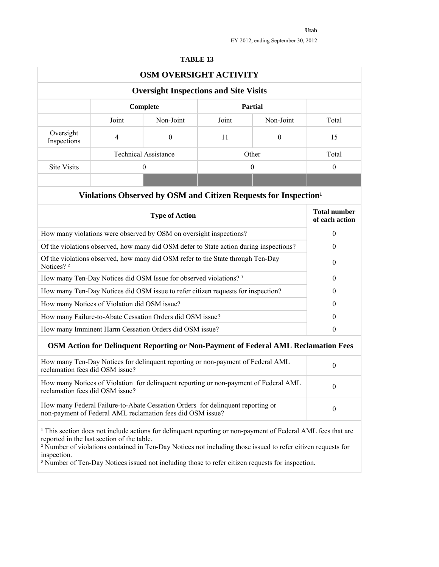|                                                           |                | OSM OVERSIGHT ACTIVITY                                                                                                                                                                                                                                                                                                                                            |       |                  |                                       |
|-----------------------------------------------------------|----------------|-------------------------------------------------------------------------------------------------------------------------------------------------------------------------------------------------------------------------------------------------------------------------------------------------------------------------------------------------------------------|-------|------------------|---------------------------------------|
|                                                           |                | <b>Oversight Inspections and Site Visits</b>                                                                                                                                                                                                                                                                                                                      |       |                  |                                       |
|                                                           |                | Complete                                                                                                                                                                                                                                                                                                                                                          |       | <b>Partial</b>   |                                       |
|                                                           | Joint          | Non-Joint                                                                                                                                                                                                                                                                                                                                                         | Joint | Non-Joint        | Total                                 |
| Oversight<br>Inspections                                  | $\overline{4}$ | $\boldsymbol{0}$                                                                                                                                                                                                                                                                                                                                                  | 11    | $\boldsymbol{0}$ | 15                                    |
|                                                           |                | <b>Technical Assistance</b>                                                                                                                                                                                                                                                                                                                                       |       | Other            | Total                                 |
| <b>Site Visits</b>                                        |                | $\theta$                                                                                                                                                                                                                                                                                                                                                          |       | $\theta$         | $\theta$                              |
|                                                           |                |                                                                                                                                                                                                                                                                                                                                                                   |       |                  |                                       |
|                                                           |                | Violations Observed by OSM and Citizen Requests for Inspection <sup>1</sup>                                                                                                                                                                                                                                                                                       |       |                  |                                       |
|                                                           |                | <b>Type of Action</b>                                                                                                                                                                                                                                                                                                                                             |       |                  | <b>Total number</b><br>of each action |
|                                                           |                | How many violations were observed by OSM on oversight inspections?                                                                                                                                                                                                                                                                                                |       |                  | $\theta$                              |
|                                                           |                | Of the violations observed, how many did OSM defer to State action during inspections?                                                                                                                                                                                                                                                                            |       |                  | $\theta$                              |
| Notices? <sup>2</sup>                                     |                | Of the violations observed, how many did OSM refer to the State through Ten-Day                                                                                                                                                                                                                                                                                   |       |                  | $\theta$                              |
|                                                           |                | How many Ten-Day Notices did OSM Issue for observed violations? <sup>3</sup>                                                                                                                                                                                                                                                                                      |       |                  | $\theta$                              |
|                                                           |                | How many Ten-Day Notices did OSM issue to refer citizen requests for inspection?                                                                                                                                                                                                                                                                                  |       |                  | $\theta$                              |
| How many Notices of Violation did OSM issue?              |                |                                                                                                                                                                                                                                                                                                                                                                   |       |                  | $\theta$                              |
|                                                           |                | How many Failure-to-Abate Cessation Orders did OSM issue?                                                                                                                                                                                                                                                                                                         |       |                  | $\theta$                              |
|                                                           |                | How many Imminent Harm Cessation Orders did OSM issue?                                                                                                                                                                                                                                                                                                            |       |                  | $\theta$                              |
|                                                           |                | OSM Action for Delinquent Reporting or Non-Payment of Federal AML Reclamation Fees                                                                                                                                                                                                                                                                                |       |                  |                                       |
| reclamation fees did OSM issue?                           |                | How many Ten-Day Notices for delinquent reporting or non-payment of Federal AML                                                                                                                                                                                                                                                                                   |       |                  | $\boldsymbol{0}$                      |
| reclamation fees did OSM issue?                           |                | How many Notices of Violation for delinquent reporting or non-payment of Federal AML                                                                                                                                                                                                                                                                              |       |                  | $\theta$                              |
|                                                           |                | How many Federal Failure-to-Abate Cessation Orders for delinquent reporting or<br>non-payment of Federal AML reclamation fees did OSM issue?                                                                                                                                                                                                                      |       |                  | $\boldsymbol{0}$                      |
| reported in the last section of the table.<br>inspection. |                | <sup>1</sup> This section does not include actions for delinquent reporting or non-payment of Federal AML fees that are<br><sup>2</sup> Number of violations contained in Ten-Day Notices not including those issued to refer citizen requests for<br><sup>3</sup> Number of Ten-Day Notices issued not including those to refer citizen requests for inspection. |       |                  |                                       |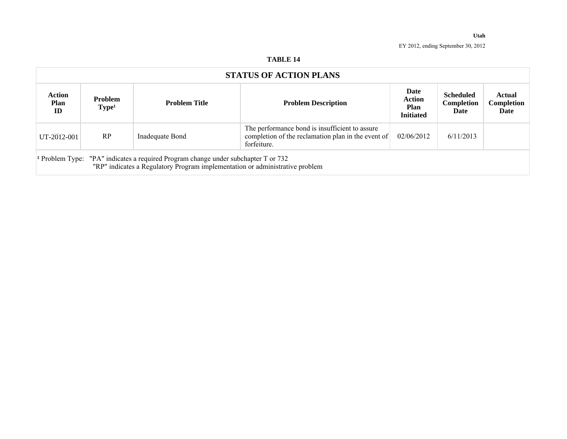|                      |                                     |                                                                                                                                                                               | <b>STATUS OF ACTION PLANS</b>                                                                                       |                                                   |                                               |                              |
|----------------------|-------------------------------------|-------------------------------------------------------------------------------------------------------------------------------------------------------------------------------|---------------------------------------------------------------------------------------------------------------------|---------------------------------------------------|-----------------------------------------------|------------------------------|
| Action<br>Plan<br>ID | <b>Problem</b><br>Type <sup>1</sup> | <b>Problem Title</b>                                                                                                                                                          | <b>Problem Description</b>                                                                                          | Date<br><b>Action</b><br>Plan<br><b>Initiated</b> | <b>Scheduled</b><br><b>Completion</b><br>Date | Actual<br>Completion<br>Date |
| UT-2012-001          | RP                                  | Inadequate Bond                                                                                                                                                               | The performance bond is insufficient to assure<br>completion of the reclamation plan in the event of<br>forfeiture. | 02/06/2012                                        | 6/11/2013                                     |                              |
|                      |                                     | <sup>1</sup> Problem Type: "PA" indicates a required Program change under subchapter T or 732<br>"RP" indicates a Regulatory Program implementation or administrative problem |                                                                                                                     |                                                   |                                               |                              |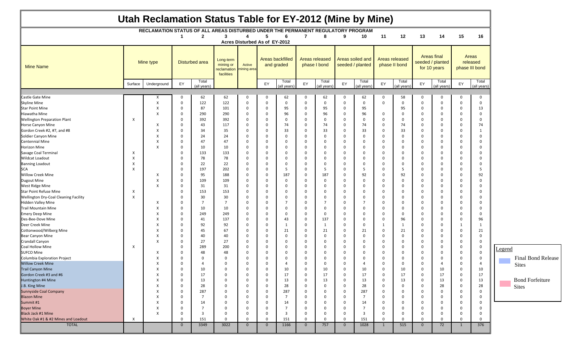| Utah Reclamation Status Table for EY-2012 (Mine by Mine) |                           |                                                                                  |                |                |                                                     |                               |                |                                |                |                                       |                |                                      |              |                                 |                |                                                        |                |                                     |
|----------------------------------------------------------|---------------------------|----------------------------------------------------------------------------------|----------------|----------------|-----------------------------------------------------|-------------------------------|----------------|--------------------------------|----------------|---------------------------------------|----------------|--------------------------------------|--------------|---------------------------------|----------------|--------------------------------------------------------|----------------|-------------------------------------|
|                                                          |                           | RECLAMATION STATUS OF ALL AREAS DISTURBED UNDER THE PERMANENT REGULATORY PROGRAM |                |                |                                                     |                               |                |                                |                |                                       |                |                                      |              |                                 |                |                                                        |                |                                     |
|                                                          |                           |                                                                                  | -1             | $\mathbf{2}$   | 3                                                   | 4                             | 5              | 6                              | 7              | 8                                     | 9              | 10                                   | 11           | 12                              | 13             | 14                                                     | 15             | 16                                  |
|                                                          |                           |                                                                                  |                |                |                                                     | Acres Disturbed As of EY-2012 |                |                                |                |                                       |                |                                      |              |                                 |                |                                                        |                |                                     |
| <b>Mine Name</b>                                         |                           | Mine type                                                                        |                | Disturbed area | Long-term<br>mining or<br>reclamation<br>facilities | Active<br>nining area         |                | Areas backfilled<br>and graded |                | <b>Areas released</b><br>phase I bond |                | Areas soiled and<br>seeded / planted |              | Areas released<br>phase II bond |                | <b>Areas final</b><br>seeded / planted<br>for 10 years |                | Areas<br>released<br>phase III bond |
|                                                          | Surface                   | Underground                                                                      | EY             | Total          |                                                     |                               | EY             | Total                          | EY             | Total                                 | EY             | Total                                | EY           | Total                           | EY             | Total                                                  | EY             | Total                               |
|                                                          |                           |                                                                                  |                | (all years)    |                                                     |                               |                | (all vears)                    |                | all years)                            |                | (all vears)                          |              | (all years)                     |                | (all years)                                            |                | (all years)                         |
| Castle Gate Mine                                         |                           |                                                                                  | $\mathbf 0$    | 62             | 62                                                  | 0                             | $\mathbf 0$    | 62                             | $\Omega$       | 62                                    | $\Omega$       | 62                                   | $\Omega$     | 58                              | $\Omega$       | 0                                                      | $\mathbf 0$    | $\Omega$                            |
| Skyline Mine                                             |                           | X                                                                                | $\mathbf{0}$   | 122            | 122                                                 | $\mathbf 0$                   | $\mathbf 0$    | 0                              | $\Omega$       | $\mathbf 0$                           | 0              | $\mathbf 0$                          | $\mathbf 0$  | $\mathbf 0$                     | $\mathbf 0$    | $\overline{\mathbf{0}}$                                | $\mathbf 0$    | $\Omega$                            |
| <b>Star Point Mine</b>                                   |                           | X                                                                                | $\mathbf 0$    | 87             | 101                                                 | 0                             | - 0            | 95                             | $\Omega$       | 95                                    | 0              | 95                                   |              | 95                              | $\Omega$       | 0                                                      | $\Omega$       | 13                                  |
|                                                          |                           |                                                                                  |                |                |                                                     |                               |                |                                |                |                                       |                |                                      |              |                                 |                |                                                        |                |                                     |
| Hiawatha Mine                                            |                           | X                                                                                | $\mathbf 0$    | 290            | 290                                                 | $\Omega$                      | $\mathbf 0$    | 96                             | $\Omega$       | 96                                    | $\mathbf 0$    | 96                                   | $\Omega$     | $\mathbf 0$                     | $\Omega$       | $\overline{0}$                                         | $\Omega$       | $\Omega$                            |
| <b>Wellington Preparation Plant</b>                      | $\times$                  |                                                                                  | $\mathbf 0$    | 392            | 392                                                 | 0                             | $\mathbf 0$    | $\Omega$                       | $\Omega$       | $\mathbf 0$                           | 0              | $\mathbf 0$                          | 0            | $\mathbf 0$                     | 0              | $\mathbf 0$                                            | $\Omega$       | $\Omega$                            |
| Horse Canyon Mine                                        |                           | X                                                                                | $\mathbf 0$    | 43             | 117                                                 | 0                             | $\mathbf 0$    | 74                             | $\Omega$       | 74                                    | 0              | 74                                   | 0            | 74                              | 0              | $\overline{0}$                                         | $\Omega$       | 74                                  |
| Gordon Creek #2, #7, and #8                              |                           | X                                                                                | $\mathbf 0$    | 34             | 35                                                  | 0                             | $\overline{0}$ | 33                             | $\Omega$       | 33                                    | 0              | 33                                   | $\Omega$     | 33                              | $\Omega$       | $\overline{0}$                                         | $\mathbf 0$    | -1                                  |
| Soldier Canyon Mine                                      |                           |                                                                                  | $\mathbf 0$    | 24             | 24                                                  | $\Omega$                      | $\mathbf 0$    | $\Omega$                       | $\Omega$       | $\mathbf 0$                           |                | $\Omega$                             | $\mathbf 0$  | $\Omega$                        | C              | $\mathbf 0$                                            | $\Omega$       | $\Omega$                            |
| <b>Centennial Mine</b>                                   |                           |                                                                                  | $\mathbf 0$    | 47             | 47                                                  | 0                             | $\mathbf 0$    | $\Omega$                       | $\Omega$       | 0                                     | 0              | 0                                    | $\Omega$     | $\mathbf 0$                     | 0              | $\overline{0}$                                         | $\Omega$       | $\Omega$                            |
| Horizon Mine                                             |                           | X                                                                                | $\mathbf 0$    | 10             | 10                                                  | $\Omega$                      | $\mathbf 0$    | $\Omega$                       | $\Omega$       | $\Omega$                              | 0              | 0                                    | $\Omega$     | 0                               | $\mathbf 0$    | $\mathbf 0$                                            | $\Omega$       | $\Omega$                            |
| Savage Coal Terminal                                     | X                         |                                                                                  | $\mathbf 0$    | 133            | 133                                                 | 0                             | $\Omega$       | $\Omega$                       | $\Omega$       | $\mathbf 0$                           | $\Omega$       | - 0                                  | 0            | $\mathbf 0$                     | $\mathbf 0$    | $\overline{0}$                                         | $\Omega$       | $\Omega$                            |
| <b>Wildcat Loadout</b>                                   | х                         |                                                                                  | $\mathbf 0$    | 78             | 78                                                  | $\Omega$                      | $\mathbf 0$    | $\Omega$                       | $\Omega$       | $\Omega$                              | 0              | $\Omega$                             | $\Omega$     | $\mathbf 0$                     | C              | 0                                                      | $\Omega$       | $\Omega$                            |
| <b>Banning Loadout</b>                                   | X                         |                                                                                  | $\mathbf 0$    | 22             | 22                                                  | 0                             | $\mathbf 0$    | 0                              | $\Omega$       | $\mathbf 0$                           | 0              | $\mathbf 0$                          | 0            | $\mathbf 0$                     | $\mathbf 0$    | $\overline{0}$                                         | $\Omega$       | $\overline{0}$                      |
| <b>SCA</b>                                               | $\boldsymbol{\mathsf{x}}$ |                                                                                  | $\mathbf 0$    | 197            | 202                                                 | 0                             | $\overline{0}$ | -5                             | $\Omega$       | 5                                     | 0              | - 5                                  | 0            | 5                               | 0              | $\mathbf 0$                                            | $\Omega$       | -5                                  |
| <b>Willow Creek Mine</b>                                 |                           | X                                                                                | $\mathbf 0$    | 95             | 188                                                 | $\mathbf 0$                   | $\overline{0}$ | 187                            | $\Omega$       | 187                                   | $\Omega$       | 92                                   | $\Omega$     | 92                              | $\Omega$       | $\mathbf 0$                                            | $\Omega$       | 92                                  |
| <b>Dugout Mine</b>                                       |                           |                                                                                  | $\mathbf 0$    | 109            | 109                                                 | 0                             | $\mathbf 0$    | $\Omega$                       | $\Omega$       | $\mathbf 0$                           | 0              | $\mathbf 0$                          | 0            | $\mathbf 0$                     | $\mathbf 0$    | $\overline{0}$                                         | $\Omega$       | $\Omega$                            |
| West Ridge Mine                                          |                           | X                                                                                | $\mathbf 0$    | 31             | 31                                                  | 0                             | $\mathbf 0$    | $\Omega$                       | $\Omega$       | $\Omega$                              | 0              | - 0                                  | 0            | $\mathbf 0$                     | $\Omega$       | $\mathbf 0$                                            | $\Omega$       | $\Omega$                            |
| <b>Star Point Refuse Mine</b>                            | X                         |                                                                                  | $\mathbf{0}$   | 153            | 153                                                 | 0                             | $\mathbf 0$    | $\Omega$                       | $\Omega$       | $\mathbf 0$                           | 0              | $\Omega$                             | $\Omega$     | $\mathbf 0$                     | $\mathbf 0$    | $\overline{0}$                                         | $\Omega$       | $\Omega$                            |
| Wellington Dry-Coal Cleaning Facility                    | $\boldsymbol{\mathsf{x}}$ |                                                                                  | $\mathbf 0$    | 30             | 30                                                  | $\Omega$                      | $\mathbf 0$    | $\Omega$                       | $\Omega$       | 0                                     | $\Omega$       | $\Omega$                             | 0            | $\Omega$                        | $\Omega$       | $\overline{0}$                                         | $\Omega$       | $\Omega$                            |
| Hidden Valley Mine                                       |                           |                                                                                  |                | 7              | $\overline{7}$                                      |                               | $\mathbf 0$    |                                | $\Omega$       | $\overline{7}$                        | 0              |                                      |              | $\mathbf 0$                     |                | $\overline{0}$                                         | $\Omega$       | $\Omega$                            |
|                                                          |                           | X                                                                                | $\mathbf 0$    |                |                                                     | -0                            |                |                                |                |                                       |                |                                      | $\Omega$     |                                 | 0              |                                                        |                |                                     |
| <b>Trail Mountain Mine</b>                               |                           | X                                                                                | $\mathbf 0$    | 10             | 10                                                  | 0                             | $\overline{0}$ | $\mathbf 0$                    | $\Omega$       | $\mathbf 0$                           | 0              | $\mathbf 0$                          | $\Omega$     | 0                               | $\mathbf 0$    | $\overline{0}$                                         | $\Omega$       | 0                                   |
| <b>Emery Deep Mine</b>                                   |                           | X                                                                                | $\mathbf 0$    | 249            | 249                                                 | $\mathbf 0$                   | $\overline{0}$ | 0                              | $\Omega$       | $\mathbf 0$                           | $\Omega$       | 0                                    | 0            | $\mathbf 0$                     | $\mathbf 0$    | $\overline{0}$                                         | $\Omega$       | $\Omega$                            |
| Des-Bee-Dove Mine                                        |                           | х                                                                                | $\mathbf 0$    | 41             | 137                                                 | $\Omega$                      | $\mathbf 0$    | 43                             | $\Omega$       | 137                                   | $\Omega$       | $\Omega$                             | $\Omega$     | 96                              | $\Omega$       | $\overline{0}$                                         | $\mathbf 0$    | 96                                  |
| Deer Creek Mine                                          |                           | X                                                                                | $\mathbf 0$    | 92             | 92                                                  | $\Omega$                      | $\mathbf 0$    | -1                             | $\Omega$       | 1                                     | 0              | $\mathbf 0$                          | -1           | 1                               | 0              | $\mathbf 0$                                            | 1              | -1                                  |
| Cottonwood/Wilberg Mine                                  |                           | X                                                                                | $\mathbf 0$    | 45             | 67                                                  | 0                             | $\overline{0}$ | 21                             | $\Omega$       | 21                                    | 0              | 21                                   | $\mathbf 0$  | 21                              | $\mathbf 0$    | $\overline{0}$                                         | $\mathbf 0$    | 21                                  |
| Bear Canyon Mine                                         |                           | X                                                                                | 0              | 40             | 40                                                  | $\Omega$                      | $\mathbf 0$    | $\Omega$                       | $\Omega$       | $\Omega$                              | $\Omega$       | $\Omega$                             | $\Omega$     | $\mathbf 0$                     | $\Omega$       | $\overline{0}$                                         | $\Omega$       | $\Omega$                            |
| Crandall Canyon                                          |                           | X                                                                                | $\mathbf{0}$   | 27             | 27                                                  | 0                             | $\mathbf 0$    | $\Omega$                       | $\Omega$       | $\mathbf 0$                           | 0              | $\mathbf 0$                          | 0            | $\mathbf 0$                     | $\mathbf 0$    | $\overline{0}$                                         | $\mathbf 0$    | $\Omega$                            |
| <b>Coal Hollow Mine</b>                                  | X                         |                                                                                  | $\mathbf 0$    | 289            | 200                                                 | 0                             | 0              | $\Omega$                       | $\Omega$       | $\mathbf 0$                           | 0              | $\mathbf 0$                          | 0            | $\mathbf 0$                     | 0              | 0                                                      | $\Omega$       | - 0                                 |
| <b>SUFCO Mine</b>                                        |                           |                                                                                  | $\mathbf 0$    | 48             | 48                                                  | $\Omega$                      | $\Omega$       | $\Omega$                       | $\Omega$       | $\Omega$                              | $\Omega$       | $\Omega$                             | $\Omega$     | $\mathbf 0$                     | $\Omega$       | $\mathbf 0$                                            | $\Omega$       | $\Omega$                            |
| Columbia Exploration Project                             |                           | X                                                                                | $\mathbf 0$    | $\Omega$       | $\Omega$                                            | $\mathbf 0$                   | $\Omega$       | $\Omega$                       | $\Omega$       | $\Omega$                              | O              | $\Omega$                             | $\Omega$     | $\Omega$                        | $\Omega$       | $\Omega$                                               | $\Omega$       | $\Omega$                            |
| Willow Creek Mine                                        |                           | X                                                                                | 0              |                | $\cup$                                              | 0                             | 0              | -4                             | 0              | 0                                     | υ              | 4                                    | 0            | 0                               | 0              | -4                                                     | 0              | 4                                   |
| Trail Canyon Mine                                        |                           | X                                                                                | $\mathbf 0$    | 10             | 0                                                   | 0                             | 0              | 10                             | $\mathbf 0$    | 10                                    | 0              | 10                                   | $\mathbf 0$  | 10                              | 0              | 10                                                     | $\mathbf 0$    | 10                                  |
| Gordon Creek #3 and #6                                   |                           | X                                                                                | $\mathbf 0$    | 17             | $\mathbf 0$                                         | 0                             | 0              | 17                             | $\mathbf 0$    | 17                                    | 0              | 17                                   | $\mathbf 0$  | 17                              | 0              | 17                                                     | $\bf{0}$       | 17                                  |
| Huntington #4 Mine                                       |                           | X                                                                                | $\mathbf 0$    | 13             | $\mathbf 0$                                         | 0                             | 0              | 13                             | 0              | 13                                    | 0              | 13                                   | $\mathbf 0$  | 13                              | 0              | 13                                                     | $\mathbf 0$    | 13                                  |
| J.B. King Mine                                           |                           | X                                                                                | $\mathbf 0$    | 28             | 0                                                   | 0                             | $\mathbf 0$    | 28                             | $\Omega$       | $\mathbf 0$                           | 0              | 28                                   | 0            | 0                               | -0             | 28                                                     | $\mathbf 0$    | 28                                  |
| <b>Sunnyside Coal Company</b>                            |                           | X                                                                                | $\mathbf 0$    | 287            | 0                                                   | 0                             | $\overline{0}$ | 287                            | 0              | $\mathbf 0$                           | 0              | 287                                  | $\mathbf 0$  | $\mathbf 0$                     | 0              | 0                                                      | $\Omega$       | $\Omega$                            |
| <b>Blazon Mine</b>                                       |                           | X                                                                                | 0              | 7              | $\mathbf 0$                                         | 0                             | 0              | 7                              | $\Omega$       | $\Omega$                              | 0              | - 7                                  | $\Omega$     | 0                               | 0              | 0                                                      | $\mathbf 0$    | $\Omega$                            |
| Summit #1                                                |                           | X                                                                                |                |                |                                                     |                               |                |                                |                |                                       |                |                                      |              |                                 |                |                                                        |                |                                     |
|                                                          |                           |                                                                                  | $\mathbf 0$    | 14             | 0                                                   | $\Omega$                      | 0              | 14                             | $\Omega$       | $\mathbf{0}$                          | 0              | 14                                   | $\mathbf 0$  | 0                               | 0              | $\mathbf 0$                                            | $\mathbf 0$    | $\mathbf 0$                         |
| <b>Boyer Mine</b>                                        |                           | X                                                                                | $\mathbf 0$    | 7              | 0                                                   | 0                             | 0              | - 7                            | $\Omega$       | $\mathbf{0}$                          | 0              | - 7                                  | $\mathbf 0$  | $\mathbf 0$                     | $\Omega$       | 0                                                      | $\Omega$       | $\mathbf 0$                         |
| <b>Black Jack #1 Mine</b>                                |                           | X                                                                                | $\mathbf 0$    | 3              | $\mathbf 0$                                         | $\Omega$                      | $\mathbf 0$    | 3                              | $\Omega$       | $\mathbf 0$                           | $\mathbf 0$    | $\overline{\mathbf{3}}$              | $\mathbf 0$  | $\mathbf 0$                     | 0              | $\mathbf 0$                                            | $\overline{0}$ | $\Omega$                            |
| White Oak #1 & #2 Mines and Loadout                      | X                         |                                                                                  | $\mathbf{0}$   | 151            | $\Omega$                                            | $\Omega$                      | $\mathbf 0$    | 151                            | $\Omega$       | $\mathbf 0$                           | $\mathbf 0$    | 151                                  | $\Omega$     | $\Omega$                        | $\Omega$       | $\overline{0}$                                         | $\mathbf 0$    | $\mathbf 0$                         |
| <b>TOTAL</b>                                             |                           |                                                                                  | $\overline{0}$ | 3349           | 3022                                                | $\mathbf{0}$                  | $\overline{0}$ | 1166                           | $\overline{0}$ | 757                                   | $\overline{0}$ | 1028                                 | $\mathbf{1}$ | 515                             | $\overline{0}$ | 72                                                     | 1              | 376                                 |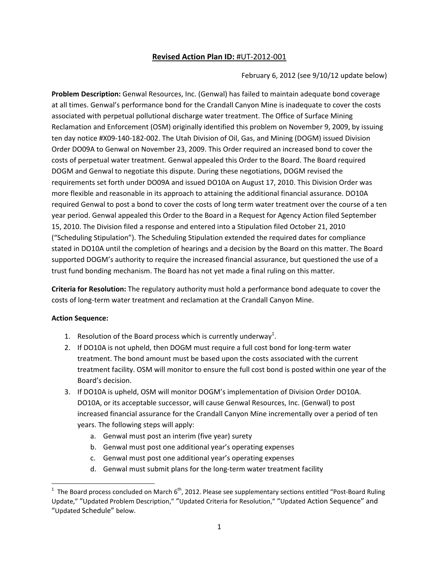### **Revised Action Plan ID:** #UT‐2012‐001

February 6, 2012 (see 9/10/12 update below)

**Problem Description:** Genwal Resources, Inc. (Genwal) has failed to maintain adequate bond coverage at all times. Genwal's performance bond for the Crandall Canyon Mine is inadequate to cover the costs associated with perpetual pollutional discharge water treatment. The Office of Surface Mining Reclamation and Enforcement (OSM) originally identified this problem on November 9, 2009, by issuing ten day notice #X09‐140‐182‐002. The Utah Division of Oil, Gas, and Mining (DOGM) issued Division Order DO09A to Genwal on November 23, 2009. This Order required an increased bond to cover the costs of perpetual water treatment. Genwal appealed this Order to the Board. The Board required DOGM and Genwal to negotiate this dispute. During these negotiations, DOGM revised the requirements set forth under DO09A and issued DO10A on August 17, 2010. This Division Order was more flexible and reasonable in its approach to attaining the additional financial assurance. DO10A required Genwal to post a bond to cover the costs of long term water treatment over the course of a ten year period. Genwal appealed this Order to the Board in a Request for Agency Action filed September 15, 2010. The Division filed a response and entered into a Stipulation filed October 21, 2010 ("Scheduling Stipulation"). The Scheduling Stipulation extended the required dates for compliance stated in DO10A until the completion of hearings and a decision by the Board on this matter. The Board supported DOGM's authority to require the increased financial assurance, but questioned the use of a trust fund bonding mechanism. The Board has not yet made a final ruling on this matter.

**Criteria for Resolution:** The regulatory authority must hold a performance bond adequate to cover the costs of long‐term water treatment and reclamation at the Crandall Canyon Mine.

#### **Action Sequence:**

- 1. Resolution of the Board process which is currently underway<sup>1</sup>.
- 2. If DO10A is not upheld, then DOGM must require a full cost bond for long‐term water treatment. The bond amount must be based upon the costs associated with the current treatment facility. OSM will monitor to ensure the full cost bond is posted within one year of the Board's decision.
- 3. If DO10A is upheld, OSM will monitor DOGM's implementation of Division Order DO10A. DO10A, or its acceptable successor, will cause Genwal Resources, Inc. (Genwal) to post increased financial assurance for the Crandall Canyon Mine incrementally over a period of ten years. The following steps will apply:
	- a. Genwal must post an interim (five year) surety
	- b. Genwal must post one additional year's operating expenses
	- c. Genwal must post one additional year's operating expenses
	- d. Genwal must submit plans for the long‐term water treatment facility

<sup>&</sup>lt;sup>1</sup> The Board process concluded on March 6<sup>th</sup>, 2012. Please see supplementary sections entitled "Post-Board Ruling Update," "Updated Problem Description," "Updated Criteria for Resolution," "Updated Action Sequence" and "Updated Schedule" below.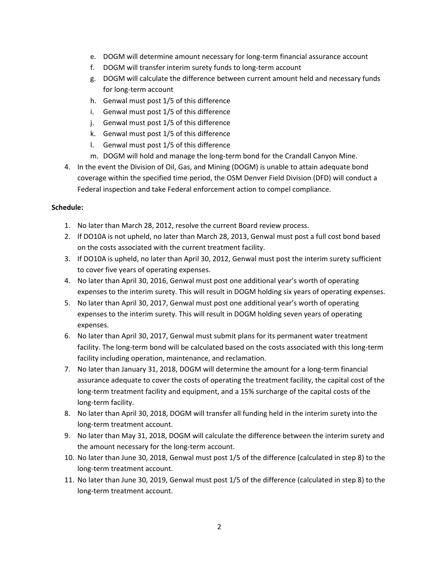- e. DOGM will determine amount necessary for long‐term financial assurance account
- f. DOGM will transfer interim surety funds to long-term account
- g. DOGM will calculate the difference between current amount held and necessary funds for long‐term account
- h. Genwal must post 1/5 of this difference
- i. Genwal must post 1/5 of this difference
- j. Genwal must post 1/5 of this difference
- k. Genwal must post 1/5 of this difference
- l. Genwal must post 1/5 of this difference
- m. DOGM will hold and manage the long-term bond for the Crandall Canyon Mine.
- 4. In the event the Division of Oil, Gas, and Mining (DOGM) is unable to attain adequate bond coverage within the specified time period, the OSM Denver Field Division (DFD) will conduct a Federal inspection and take Federal enforcement action to compel compliance.

#### **Schedule:**

- 1. No later than March 28, 2012, resolve the current Board review process.
- 2. If DO10A is not upheld, no later than March 28, 2013, Genwal must post a full cost bond based on the costs associated with the current treatment facility.
- 3. If DO10A is upheld, no later than April 30, 2012, Genwal must post the interim surety sufficient to cover five years of operating expenses.
- 4. No later than April 30, 2016, Genwal must post one additional year's worth of operating expenses to the interim surety. This will result in DOGM holding six years of operating expenses.
- 5. No later than April 30, 2017, Genwal must post one additional year's worth of operating expenses to the interim surety. This will result in DOGM holding seven years of operating expenses.
- 6. No later than April 30, 2017, Genwal must submit plans for its permanent water treatment facility. The long-term bond will be calculated based on the costs associated with this long-term facility including operation, maintenance, and reclamation.
- 7. No later than January 31, 2018, DOGM will determine the amount for a long-term financial assurance adequate to cover the costs of operating the treatment facility, the capital cost of the long‐term treatment facility and equipment, and a 15% surcharge of the capital costs of the long‐term facility.
- 8. No later than April 30, 2018, DOGM will transfer all funding held in the interim surety into the long‐term treatment account.
- 9. No later than May 31, 2018, DOGM will calculate the difference between the interim surety and the amount necessary for the long‐term account.
- 10. No later than June 30, 2018, Genwal must post 1/5 of the difference (calculated in step 8) to the long‐term treatment account.
- 11. No later than June 30, 2019, Genwal must post 1/5 of the difference (calculated in step 8) to the long‐term treatment account.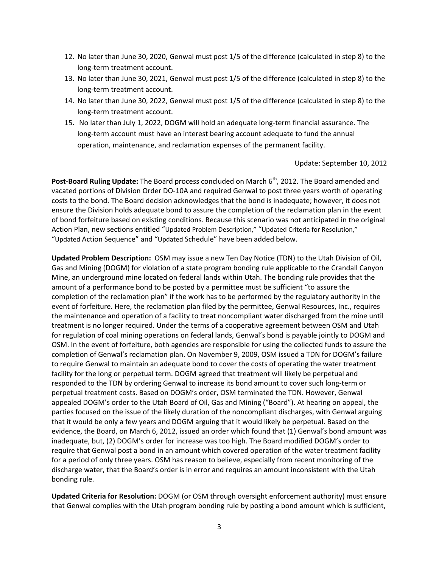- 12. No later than June 30, 2020, Genwal must post 1/5 of the difference (calculated in step 8) to the long‐term treatment account.
- 13. No later than June 30, 2021, Genwal must post 1/5 of the difference (calculated in step 8) to the long‐term treatment account.
- 14. No later than June 30, 2022, Genwal must post 1/5 of the difference (calculated in step 8) to the long‐term treatment account.
- 15. No later than July 1, 2022, DOGM will hold an adequate long‐term financial assurance. The long-term account must have an interest bearing account adequate to fund the annual operation, maintenance, and reclamation expenses of the permanent facility.

#### Update: September 10, 2012

**Post-Board Ruling Update:** The Board process concluded on March 6<sup>th</sup>, 2012. The Board amended and vacated portions of Division Order DO‐10A and required Genwal to post three years worth of operating costs to the bond. The Board decision acknowledges that the bond is inadequate; however, it does not ensure the Division holds adequate bond to assure the completion of the reclamation plan in the event of bond forfeiture based on existing conditions. Because this scenario was not anticipated in the original Action Plan, new sections entitled "Updated Problem Description," "Updated Criteria for Resolution," "Updated Action Sequence" and "Updated Schedule" have been added below.

**Updated Problem Description:** OSM may issue a new Ten Day Notice (TDN) to the Utah Division of Oil, Gas and Mining (DOGM) for violation of a state program bonding rule applicable to the Crandall Canyon Mine, an underground mine located on federal lands within Utah. The bonding rule provides that the amount of a performance bond to be posted by a permittee must be sufficient "to assure the completion of the reclamation plan" if the work has to be performed by the regulatory authority in the event of forfeiture. Here, the reclamation plan filed by the permittee, Genwal Resources, Inc., requires the maintenance and operation of a facility to treat noncompliant water discharged from the mine until treatment is no longer required. Under the terms of a cooperative agreement between OSM and Utah for regulation of coal mining operations on federal lands, Genwal's bond is payable jointly to DOGM and OSM. In the event of forfeiture, both agencies are responsible for using the collected funds to assure the completion of Genwal's reclamation plan. On November 9, 2009, OSM issued a TDN for DOGM's failure to require Genwal to maintain an adequate bond to cover the costs of operating the water treatment facility for the long or perpetual term. DOGM agreed that treatment will likely be perpetual and responded to the TDN by ordering Genwal to increase its bond amount to cover such long-term or perpetual treatment costs. Based on DOGM's order, OSM terminated the TDN. However, Genwal appealed DOGM's order to the Utah Board of Oil, Gas and Mining ("Board"). At hearing on appeal, the parties focused on the issue of the likely duration of the noncompliant discharges, with Genwal arguing that it would be only a few years and DOGM arguing that it would likely be perpetual. Based on the evidence, the Board, on March 6, 2012, issued an order which found that (1) Genwal's bond amount was inadequate, but, (2) DOGM's order for increase was too high. The Board modified DOGM's order to require that Genwal post a bond in an amount which covered operation of the water treatment facility for a period of only three years. OSM has reason to believe, especially from recent monitoring of the discharge water, that the Board's order is in error and requires an amount inconsistent with the Utah bonding rule.

**Updated Criteria for Resolution:** DOGM (or OSM through oversight enforcement authority) must ensure that Genwal complies with the Utah program bonding rule by posting a bond amount which is sufficient,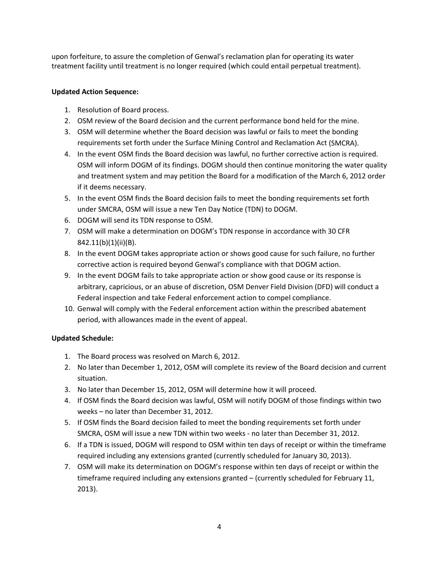upon forfeiture, to assure the completion of Genwal's reclamation plan for operating its water treatment facility until treatment is no longer required (which could entail perpetual treatment).

### **Updated Action Sequence:**

- 1. Resolution of Board process.
- 2. OSM review of the Board decision and the current performance bond held for the mine.
- 3. OSM will determine whether the Board decision was lawful or fails to meet the bonding requirements set forth under the Surface Mining Control and Reclamation Act (SMCRA).
- 4. In the event OSM finds the Board decision was lawful, no further corrective action is required. OSM will inform DOGM of its findings. DOGM should then continue monitoring the water quality and treatment system and may petition the Board for a modification of the March 6, 2012 order if it deems necessary.
- 5. In the event OSM finds the Board decision fails to meet the bonding requirements set forth under SMCRA, OSM will issue a new Ten Day Notice (TDN) to DOGM.
- 6. DOGM will send its TDN response to OSM.
- 7. OSM will make a determination on DOGM's TDN response in accordance with 30 CFR 842.11(b)(1)(ii)(B).
- 8. In the event DOGM takes appropriate action or shows good cause for such failure, no further corrective action is required beyond Genwal's compliance with that DOGM action.
- 9. In the event DOGM fails to take appropriate action or show good cause or its response is arbitrary, capricious, or an abuse of discretion, OSM Denver Field Division (DFD) will conduct a Federal inspection and take Federal enforcement action to compel compliance.
- 10. Genwal will comply with the Federal enforcement action within the prescribed abatement period, with allowances made in the event of appeal.

### **Updated Schedule:**

- 1. The Board process was resolved on March 6, 2012.
- 2. No later than December 1, 2012, OSM will complete its review of the Board decision and current situation.
- 3. No later than December 15, 2012, OSM will determine how it will proceed.
- 4. If OSM finds the Board decision was lawful, OSM will notify DOGM of those findings within two weeks – no later than December 31, 2012.
- 5. If OSM finds the Board decision failed to meet the bonding requirements set forth under SMCRA, OSM will issue a new TDN within two weeks ‐ no later than December 31, 2012.
- 6. If a TDN is issued, DOGM will respond to OSM within ten days of receipt or within the timeframe required including any extensions granted (currently scheduled for January 30, 2013).
- 7. OSM will make its determination on DOGM's response within ten days of receipt or within the timeframe required including any extensions granted – (currently scheduled for February 11, 2013).